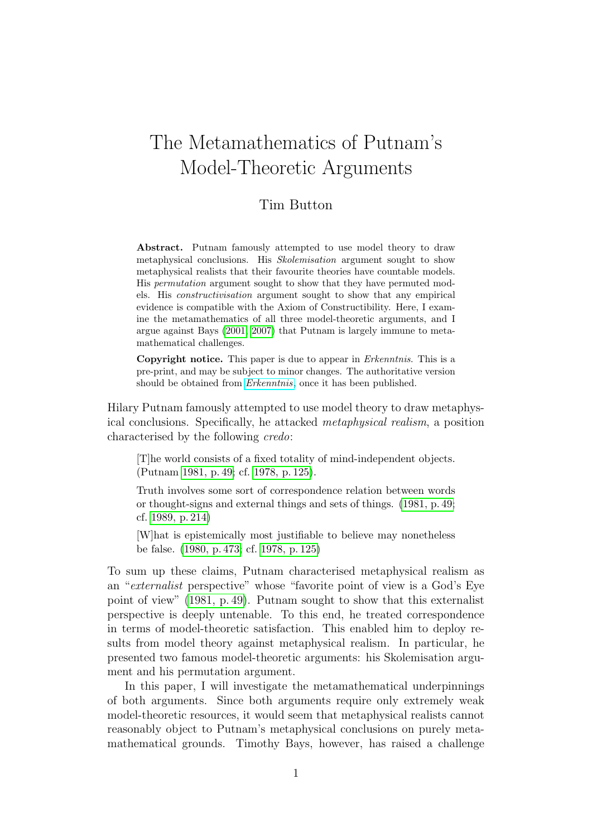# The Metamathematics of Putnam's Model-Theoretic Arguments

#### Tim Button

Abstract. Putnam famously attempted to use model theory to draw metaphysical conclusions. His Skolemisation argument sought to show metaphysical realists that their favourite theories have countable models. His permutation argument sought to show that they have permuted models. His constructivisation argument sought to show that any empirical evidence is compatible with the Axiom of Constructibility. Here, I examine the metamathematics of all three model-theoretic arguments, and I argue against Bays [\(2001,](#page-30-0) [2007\)](#page-30-1) that Putnam is largely immune to metamathematical challenges.

Copyright notice. This paper is due to appear in Erkenntnis. This is a pre-print, and may be subject to minor changes. The authoritative version should be obtained from [Erkenntnis](http://www.springerlink.com/content/0165-0106), once it has been published.

Hilary Putnam famously attempted to use model theory to draw metaphysical conclusions. Specifically, he attacked metaphysical realism, a position characterised by the following credo:

[T]he world consists of a fixed totality of mind-independent objects. (Putnam [1981, p. 49;](#page-31-0) cf. [1978, p. 125\)](#page-31-1).

Truth involves some sort of correspondence relation between words or thought-signs and external things and sets of things. [\(1981, p. 49;](#page-31-0) cf. [1989, p. 214\)](#page-31-2)

[W]hat is epistemically most justifiable to believe may nonetheless be false. [\(1980, p. 473;](#page-31-3) cf. [1978, p. 125\)](#page-31-1)

To sum up these claims, Putnam characterised metaphysical realism as an "externalist perspective" whose "favorite point of view is a God's Eye point of view" [\(1981, p. 49\)](#page-31-0). Putnam sought to show that this externalist perspective is deeply untenable. To this end, he treated correspondence in terms of model-theoretic satisfaction. This enabled him to deploy results from model theory against metaphysical realism. In particular, he presented two famous model-theoretic arguments: his Skolemisation argument and his permutation argument.

In this paper, I will investigate the metamathematical underpinnings of both arguments. Since both arguments require only extremely weak model-theoretic resources, it would seem that metaphysical realists cannot reasonably object to Putnam's metaphysical conclusions on purely metamathematical grounds. Timothy Bays, however, has raised a challenge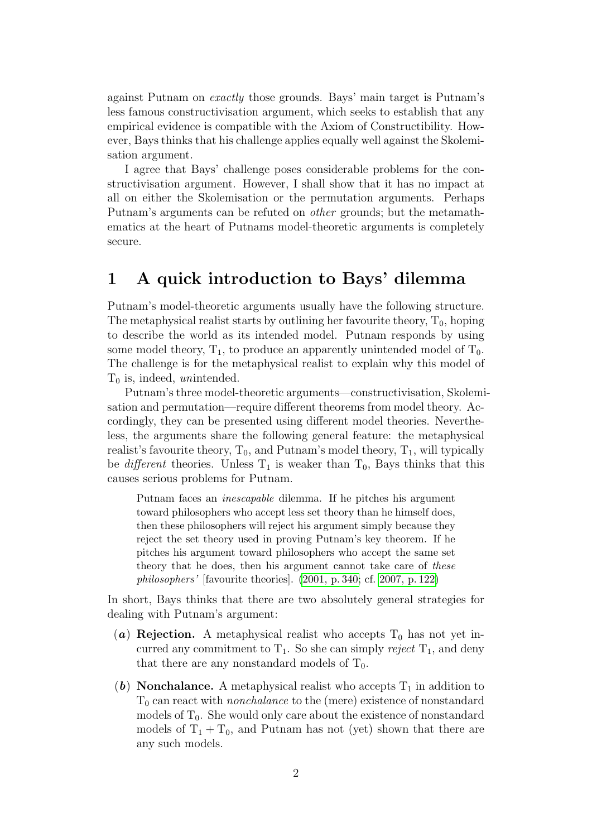against Putnam on exactly those grounds. Bays' main target is Putnam's less famous constructivisation argument, which seeks to establish that any empirical evidence is compatible with the Axiom of Constructibility. However, Bays thinks that his challenge applies equally well against the Skolemisation argument.

I agree that Bays' challenge poses considerable problems for the constructivisation argument. However, I shall show that it has no impact at all on either the Skolemisation or the permutation arguments. Perhaps Putnam's arguments can be refuted on other grounds; but the metamathematics at the heart of Putnams model-theoretic arguments is completely secure.

# <span id="page-1-0"></span>1 A quick introduction to Bays' dilemma

Putnam's model-theoretic arguments usually have the following structure. The metaphysical realist starts by outlining her favourite theory,  $T_0$ , hoping to describe the world as its intended model. Putnam responds by using some model theory,  $T_1$ , to produce an apparently unintended model of  $T_0$ . The challenge is for the metaphysical realist to explain why this model of  $T_0$  is, indeed, unintended.

Putnam's three model-theoretic arguments—constructivisation, Skolemisation and permutation—require different theorems from model theory. Accordingly, they can be presented using different model theories. Nevertheless, the arguments share the following general feature: the metaphysical realist's favourite theory,  $T_0$ , and Putnam's model theory,  $T_1$ , will typically be *different* theories. Unless  $T_1$  is weaker than  $T_0$ , Bays thinks that this causes serious problems for Putnam.

Putnam faces an inescapable dilemma. If he pitches his argument toward philosophers who accept less set theory than he himself does, then these philosophers will reject his argument simply because they reject the set theory used in proving Putnam's key theorem. If he pitches his argument toward philosophers who accept the same set theory that he does, then his argument cannot take care of these philosophers' [favourite theories]. [\(2001, p. 340;](#page-30-0) cf. [2007, p. 122\)](#page-30-1)

In short, Bays thinks that there are two absolutely general strategies for dealing with Putnam's argument:

- (a) Rejection. A metaphysical realist who accepts  $T_0$  has not yet incurred any commitment to  $T_1$ . So she can simply reject  $T_1$ , and deny that there are any nonstandard models of  $T_0$ .
- (b) Nonchalance. A metaphysical realist who accepts  $T_1$  in addition to  $T_0$  can react with *nonchalance* to the (mere) existence of nonstandard models of  $T_0$ . She would only care about the existence of nonstandard models of  $T_1 + T_0$ , and Putnam has not (yet) shown that there are any such models.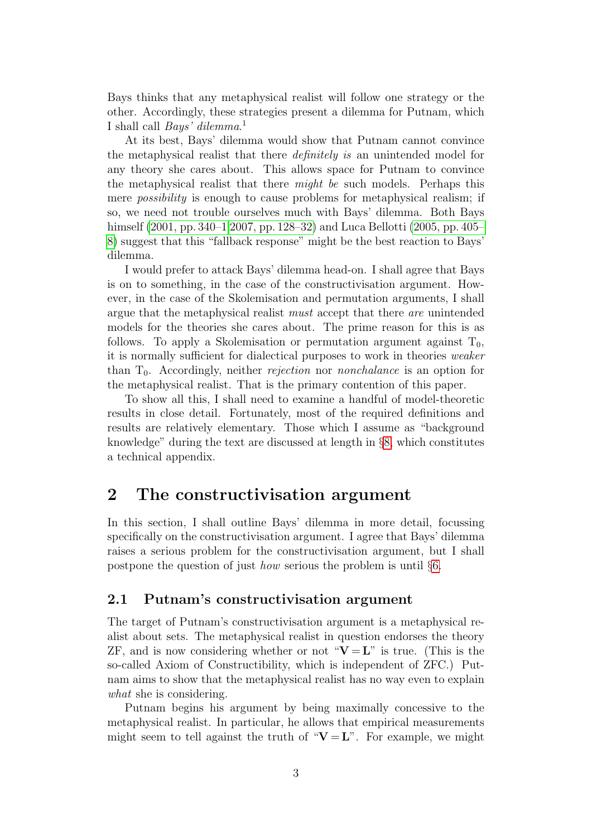Bays thinks that any metaphysical realist will follow one strategy or the other. Accordingly, these strategies present a dilemma for Putnam, which I shall call *Bays' dilemma*.<sup>1</sup>

At its best, Bays' dilemma would show that Putnam cannot convince the metaphysical realist that there definitely is an unintended model for any theory she cares about. This allows space for Putnam to convince the metaphysical realist that there might be such models. Perhaps this mere *possibility* is enough to cause problems for metaphysical realism; if so, we need not trouble ourselves much with Bays' dilemma. Both Bays himself [\(2001, pp. 340–1](#page-30-0) [2007, pp. 128–32\)](#page-30-1) and Luca Bellotti [\(2005, pp. 405–](#page-30-2) [8\)](#page-30-2) suggest that this "fallback response" might be the best reaction to Bays' dilemma.

I would prefer to attack Bays' dilemma head-on. I shall agree that Bays is on to something, in the case of the constructivisation argument. However, in the case of the Skolemisation and permutation arguments, I shall argue that the metaphysical realist must accept that there are unintended models for the theories she cares about. The prime reason for this is as follows. To apply a Skolemisation or permutation argument against  $T_0$ , it is normally sufficient for dialectical purposes to work in theories weaker than  $T_0$ . Accordingly, neither *rejection* nor *nonchalance* is an option for the metaphysical realist. That is the primary contention of this paper.

To show all this, I shall need to examine a handful of model-theoretic results in close detail. Fortunately, most of the required definitions and results are relatively elementary. Those which I assume as "background knowledge" during the text are discussed at length in §[8,](#page-19-0) which constitutes a technical appendix.

### <span id="page-2-0"></span>2 The constructivisation argument

In this section, I shall outline Bays' dilemma in more detail, focussing specifically on the constructivisation argument. I agree that Bays' dilemma raises a serious problem for the constructivisation argument, but I shall postpone the question of just how serious the problem is until §[6.](#page-18-0)

#### 2.1 Putnam's constructivisation argument

The target of Putnam's constructivisation argument is a metaphysical realist about sets. The metaphysical realist in question endorses the theory ZF, and is now considering whether or not " $V = L$ " is true. (This is the so-called Axiom of Constructibility, which is independent of ZFC.) Putnam aims to show that the metaphysical realist has no way even to explain what she is considering.

Putnam begins his argument by being maximally concessive to the metaphysical realist. In particular, he allows that empirical measurements might seem to tell against the truth of " $V = L$ ". For example, we might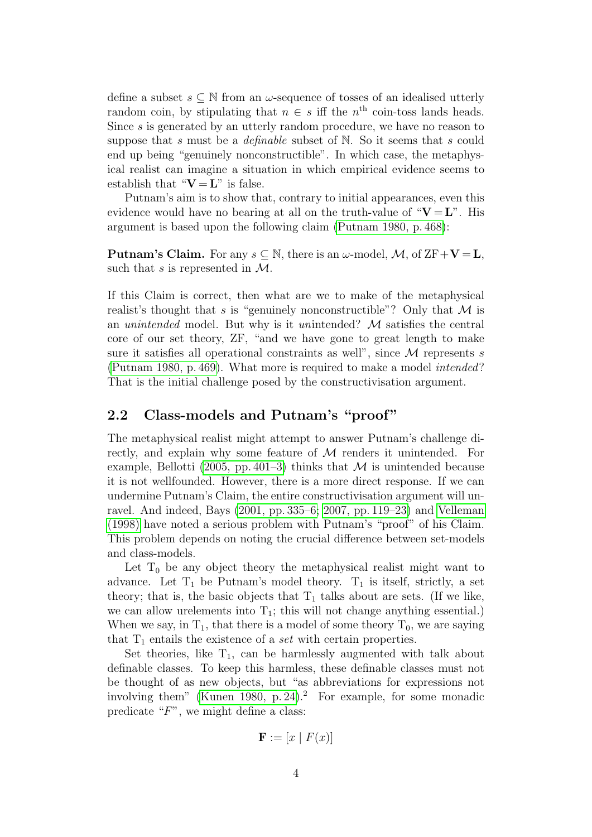define a subset  $s \subseteq \mathbb{N}$  from an  $\omega$ -sequence of tosses of an idealised utterly random coin, by stipulating that  $n \in s$  iff the  $n<sup>th</sup>$  coin-toss lands heads. Since s is generated by an utterly random procedure, we have no reason to suppose that s must be a *definable* subset of  $N$ . So it seems that s could end up being "genuinely nonconstructible". In which case, the metaphysical realist can imagine a situation in which empirical evidence seems to establish that " $V = L$ " is false.

Putnam's aim is to show that, contrary to initial appearances, even this evidence would have no bearing at all on the truth-value of " $V = L$ ". His argument is based upon the following claim [\(Putnam 1980, p. 468\)](#page-31-3):

**Putnam's Claim.** For any  $s \subseteq \mathbb{N}$ , there is an  $\omega$ -model, M, of  $ZF+V=L$ , such that s is represented in  $\mathcal{M}$ .

If this Claim is correct, then what are we to make of the metaphysical realist's thought that s is "genuinely nonconstructible"? Only that  $\mathcal M$  is an unintended model. But why is it unintended? M satisfies the central core of our set theory, ZF, "and we have gone to great length to make sure it satisfies all operational constraints as well", since  $\mathcal M$  represents s [\(Putnam 1980, p. 469\)](#page-31-3). What more is required to make a model intended? That is the initial challenge posed by the constructivisation argument.

#### <span id="page-3-0"></span>2.2 Class-models and Putnam's "proof"

The metaphysical realist might attempt to answer Putnam's challenge directly, and explain why some feature of M renders it unintended. For example, Bellotti [\(2005, pp. 401–3\)](#page-30-2) thinks that  $\mathcal M$  is unintended because it is not wellfounded. However, there is a more direct response. If we can undermine Putnam's Claim, the entire constructivisation argument will unravel. And indeed, Bays [\(2001, pp. 335–6;](#page-30-0) [2007, pp. 119–23\)](#page-30-1) and [Velleman](#page-31-4) [\(1998\)](#page-31-4) have noted a serious problem with Putnam's "proof" of his Claim. This problem depends on noting the crucial difference between set-models and class-models.

Let  $T_0$  be any object theory the metaphysical realist might want to advance. Let  $T_1$  be Putnam's model theory.  $T_1$  is itself, strictly, a set theory; that is, the basic objects that  $T_1$  talks about are sets. (If we like, we can allow urelements into  $T_1$ ; this will not change anything essential.) When we say, in  $T_1$ , that there is a model of some theory  $T_0$ , we are saying that  $T_1$  entails the existence of a *set* with certain properties.

Set theories, like  $T_1$ , can be harmlessly augmented with talk about definable classes. To keep this harmless, these definable classes must not be thought of as new objects, but "as abbreviations for expressions not involving them" [\(Kunen 1980, p. 24\)](#page-30-3).<sup>2</sup> For example, for some monadic predicate " $F$ ", we might define a class:

$$
\mathbf{F} := [x \mid F(x)]
$$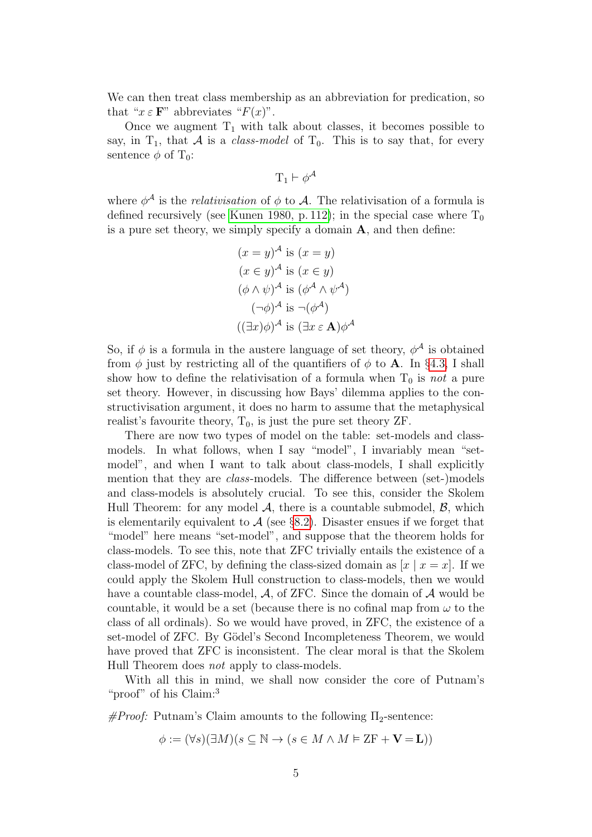We can then treat class membership as an abbreviation for predication, so that " $x \in \mathbf{F}$ " abbreviates " $F(x)$ ".

Once we augment  $T_1$  with talk about classes, it becomes possible to say, in  $T_1$ , that A is a *class-model* of  $T_0$ . This is to say that, for every sentence  $\phi$  of T<sub>0</sub>:

$$
T_1 \vdash \phi^{\mathcal{A}}
$$

where  $\phi^{\mathcal{A}}$  is the *relativisation* of  $\phi$  to  $\mathcal{A}$ . The relativisation of a formula is defined recursively (see [Kunen 1980, p. 112\)](#page-30-3); in the special case where  $T_0$ is a pure set theory, we simply specify a domain A, and then define:

$$
(x = y)^{\mathcal{A}} \text{ is } (x = y)
$$
  
\n
$$
(x \in y)^{\mathcal{A}} \text{ is } (x \in y)
$$
  
\n
$$
(\phi \land \psi)^{\mathcal{A}} \text{ is } (\phi^{\mathcal{A}} \land \psi^{\mathcal{A}})
$$
  
\n
$$
(\neg \phi)^{\mathcal{A}} \text{ is } \neg (\phi^{\mathcal{A}})
$$
  
\n
$$
((\exists x)\phi)^{\mathcal{A}} \text{ is } (\exists x \in \mathbf{A})\phi^{\mathcal{A}}
$$

So, if  $\phi$  is a formula in the austere language of set theory,  $\phi^{\mathcal{A}}$  is obtained from  $\phi$  just by restricting all of the quantifiers of  $\phi$  to **A**. In §[4.3,](#page-14-0) I shall show how to define the relativisation of a formula when  $T_0$  is not a pure set theory. However, in discussing how Bays' dilemma applies to the constructivisation argument, it does no harm to assume that the metaphysical realist's favourite theory,  $T_0$ , is just the pure set theory ZF.

There are now two types of model on the table: set-models and classmodels. In what follows, when I say "model", I invariably mean "setmodel", and when I want to talk about class-models, I shall explicitly mention that they are class-models. The difference between (set-)models and class-models is absolutely crucial. To see this, consider the Skolem Hull Theorem: for any model  $\mathcal{A}$ , there is a countable submodel,  $\mathcal{B}$ , which is elementarily equivalent to  $A$  (see §[8.2\)](#page-22-0). Disaster ensues if we forget that "model" here means "set-model", and suppose that the theorem holds for class-models. To see this, note that ZFC trivially entails the existence of a class-model of ZFC, by defining the class-sized domain as  $[x \mid x = x]$ . If we could apply the Skolem Hull construction to class-models, then we would have a countable class-model,  $A$ , of ZFC. Since the domain of  $A$  would be countable, it would be a set (because there is no cofinal map from  $\omega$  to the class of all ordinals). So we would have proved, in ZFC, the existence of a set-model of ZFC. By Gödel's Second Incompleteness Theorem, we would have proved that ZFC is inconsistent. The clear moral is that the Skolem Hull Theorem does not apply to class-models.

With all this in mind, we shall now consider the core of Putnam's "proof" of his Claim:<sup>3</sup>

 $\#Proof:$  Putnam's Claim amounts to the following  $\Pi_2$ -sentence:

$$
\phi := (\forall s)(\exists M)(s \subseteq \mathbb{N} \to (s \in M \land M \vDash \mathbb{Z}\mathcal{F} + \mathbf{V} = \mathbf{L}))
$$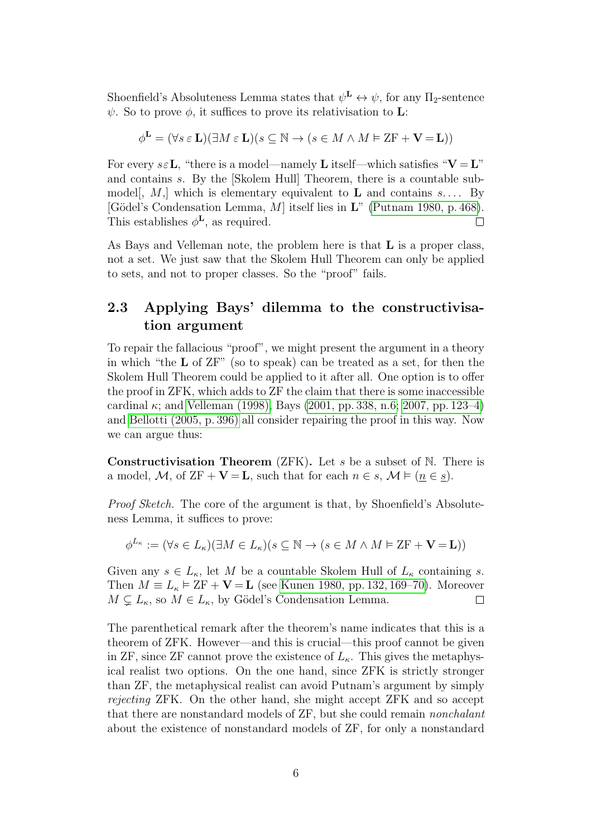Shoenfield's Absoluteness Lemma states that  $\psi^{\mathbf{L}} \leftrightarrow \psi$ , for any  $\Pi_2$ -sentence  $\psi$ . So to prove  $\phi$ , it suffices to prove its relativisation to **L**:

$$
\phi^{\mathbf{L}} = (\forall s \in \mathbf{L})(\exists M \in \mathbf{L})(s \subseteq \mathbb{N} \to (s \in M \land M \vDash \mathbf{ZF} + \mathbf{V} = \mathbf{L}))
$$

For every  $s \in L$ , "there is a model—namely L itself—which satisfies " $V = L$ " and contains s. By the [Skolem Hull] Theorem, there is a countable submodel, M, which is elementary equivalent to L and contains  $s$ .... By [Gödel's Condensation Lemma,  $M$ ] itself lies in  $\mathbf{L}^n$  [\(Putnam 1980, p. 468\)](#page-31-3). This establishes  $\phi^{\mathbf{L}}$ , as required.  $\Box$ 

As Bays and Velleman note, the problem here is that L is a proper class, not a set. We just saw that the Skolem Hull Theorem can only be applied to sets, and not to proper classes. So the "proof" fails.

### <span id="page-5-0"></span>2.3 Applying Bays' dilemma to the constructivisation argument

To repair the fallacious "proof", we might present the argument in a theory in which "the L of ZF" (so to speak) can be treated as a set, for then the Skolem Hull Theorem could be applied to it after all. One option is to offer the proof in ZFK, which adds to ZF the claim that there is some inaccessible cardinal  $\kappa$ ; and [Velleman \(1998\),](#page-31-4) Bays [\(2001, pp. 338, n.6;](#page-30-0) [2007, pp. 123–4\)](#page-30-1) and [Bellotti \(2005, p. 396\)](#page-30-2) all consider repairing the proof in this way. Now we can argue thus:

**Constructivisation Theorem** (ZFK). Let  $s$  be a subset of  $N$ . There is a model, M, of  $ZF + V = L$ , such that for each  $n \in s$ ,  $\mathcal{M} \models (n \in s)$ .

Proof Sketch. The core of the argument is that, by Shoenfield's Absoluteness Lemma, it suffices to prove:

$$
\phi^{L_{\kappa}} := (\forall s \in L_{\kappa})(\exists M \in L_{\kappa})(s \subseteq \mathbb{N} \to (s \in M \land M \vDash \mathrm{ZF} + \mathbf{V} = \mathbf{L}))
$$

Given any  $s \in L_{\kappa}$ , let M be a countable Skolem Hull of  $L_{\kappa}$  containing s. Then  $M \equiv L_{\kappa} \models \text{ZF} + \mathbf{V} = \mathbf{L}$  (see [Kunen 1980, pp. 132, 169–70\)](#page-30-3). Moreover  $M \subsetneq L_{\kappa}$ , so  $M \in L_{\kappa}$ , by Gödel's Condensation Lemma.  $\Box$ 

The parenthetical remark after the theorem's name indicates that this is a theorem of ZFK. However—and this is crucial—this proof cannot be given in ZF, since ZF cannot prove the existence of  $L_{\kappa}$ . This gives the metaphysical realist two options. On the one hand, since ZFK is strictly stronger than ZF, the metaphysical realist can avoid Putnam's argument by simply rejecting ZFK. On the other hand, she might accept ZFK and so accept that there are nonstandard models of ZF, but she could remain nonchalant about the existence of nonstandard models of ZF, for only a nonstandard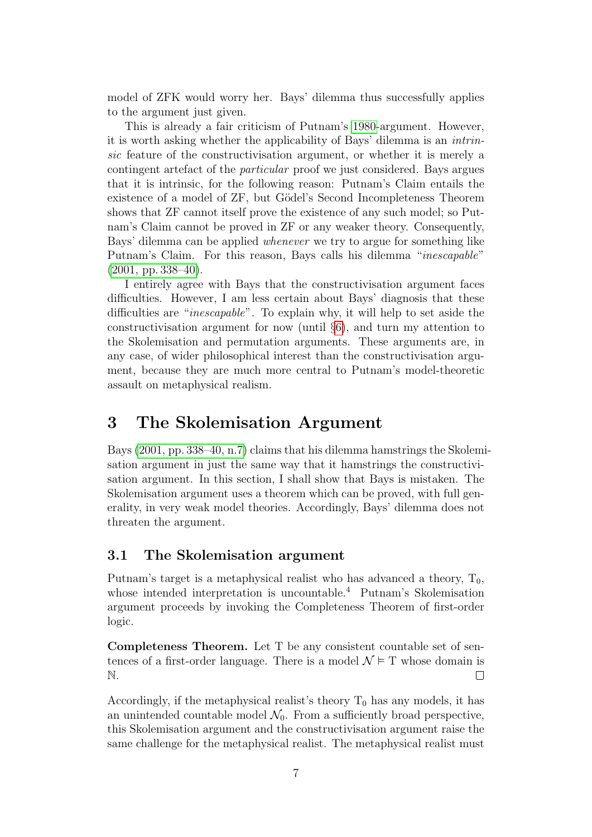model of ZFK would worry her. Bays' dilemma thus successfully applies to the argument just given.

This is already a fair criticism of Putnam's [1980-](#page-31-3)argument. However, it is worth asking whether the applicability of Bays' dilemma is an intrinsic feature of the constructivisation argument, or whether it is merely a contingent artefact of the particular proof we just considered. Bays argues that it is intrinsic, for the following reason: Putnam's Claim entails the existence of a model of  $ZF$ , but Gödel's Second Incompleteness Theorem shows that ZF cannot itself prove the existence of any such model; so Putnam's Claim cannot be proved in ZF or any weaker theory. Consequently, Bays' dilemma can be applied whenever we try to argue for something like Putnam's Claim. For this reason, Bays calls his dilemma "inescapable"  $(2001, pp. 338-40).$ 

I entirely agree with Bays that the constructivisation argument faces difficulties. However, I am less certain about Bays' diagnosis that these difficulties are "inescapable". To explain why, it will help to set aside the constructivisation argument for now (until §[6\)](#page-18-0), and turn my attention to the Skolemisation and permutation arguments. These arguments are, in any case, of wider philosophical interest than the constructivisation argument, because they are much more central to Putnam's model-theoretic assault on metaphysical realism.

# <span id="page-6-0"></span>3 The Skolemisation Argument

Bays [\(2001, pp. 338–40, n.7\)](#page-30-0) claims that his dilemma hamstrings the Skolemisation argument in just the same way that it hamstrings the constructivisation argument. In this section, I shall show that Bays is mistaken. The Skolemisation argument uses a theorem which can be proved, with full generality, in very weak model theories. Accordingly, Bays' dilemma does not threaten the argument.

#### 3.1 The Skolemisation argument

Putnam's target is a metaphysical realist who has advanced a theory,  $T_0$ , whose intended interpretation is uncountable.<sup>4</sup> Putnam's Skolemisation argument proceeds by invoking the Completeness Theorem of first-order logic.

Completeness Theorem. Let T be any consistent countable set of sentences of a first-order language. There is a model  $\mathcal{N} \models$  T whose domain is N.  $\Box$ 

Accordingly, if the metaphysical realist's theory  $T_0$  has any models, it has an unintended countable model  $\mathcal{N}_0$ . From a sufficiently broad perspective, this Skolemisation argument and the constructivisation argument raise the same challenge for the metaphysical realist. The metaphysical realist must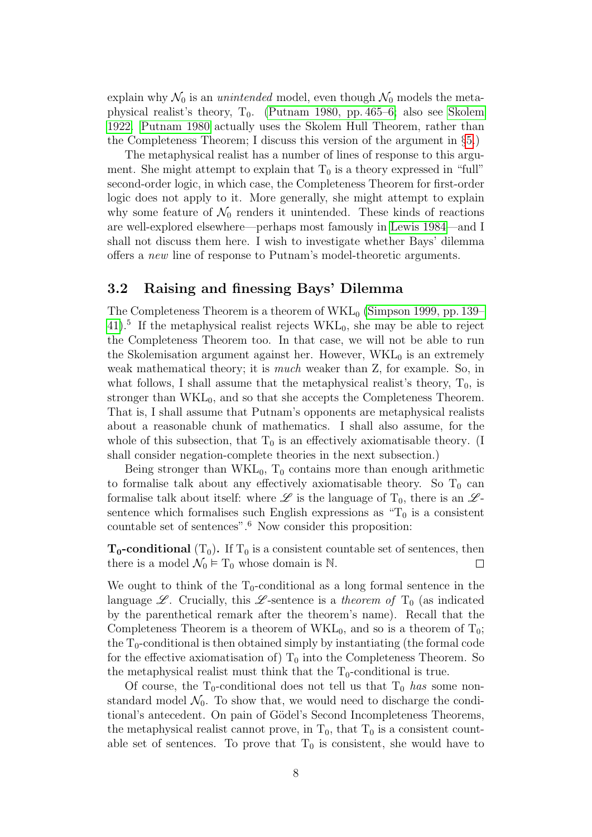explain why  $\mathcal{N}_0$  is an *unintended* model, even though  $\mathcal{N}_0$  models the metaphysical realist's theory,  $T_0$ . [\(Putnam 1980, pp. 465–6;](#page-31-3) also see [Skolem](#page-31-5) [1922.](#page-31-5) [Putnam 1980](#page-31-3) actually uses the Skolem Hull Theorem, rather than the Completeness Theorem; I discuss this version of the argument in §[5.](#page-15-0))

The metaphysical realist has a number of lines of response to this argument. She might attempt to explain that  $T_0$  is a theory expressed in "full" second-order logic, in which case, the Completeness Theorem for first-order logic does not apply to it. More generally, she might attempt to explain why some feature of  $\mathcal{N}_0$  renders it unintended. These kinds of reactions are well-explored elsewhere—perhaps most famously in [Lewis 1984—](#page-30-4)and I shall not discuss them here. I wish to investigate whether Bays' dilemma offers a new line of response to Putnam's model-theoretic arguments.

#### <span id="page-7-0"></span>3.2 Raising and finessing Bays' Dilemma

The Completeness Theorem is a theorem of  $WKL_0$  [\(Simpson 1999, pp. 139–](#page-31-6)  $41$ ).<sup>5</sup> If the metaphysical realist rejects WKL<sub>0</sub>, she may be able to reject the Completeness Theorem too. In that case, we will not be able to run the Skolemisation argument against her. However,  $\text{WKL}_0$  is an extremely weak mathematical theory; it is much weaker than Z, for example. So, in what follows, I shall assume that the metaphysical realist's theory,  $T_0$ , is stronger than  $WKL_0$ , and so that she accepts the Completeness Theorem. That is, I shall assume that Putnam's opponents are metaphysical realists about a reasonable chunk of mathematics. I shall also assume, for the whole of this subsection, that  $T_0$  is an effectively axiomatisable theory. (I shall consider negation-complete theories in the next subsection.)

Being stronger than  $WKL_0$ ,  $T_0$  contains more than enough arithmetic to formalise talk about any effectively axiomatisable theory. So  $T_0$  can formalise talk about itself: where  $\mathscr L$  is the language of  $T_0$ , there is an  $\mathscr L$ sentence which formalises such English expressions as  $T_0$  is a consistent countable set of sentences".<sup>6</sup> Now consider this proposition:

 $T_0$ -conditional  $(T_0)$ . If  $T_0$  is a consistent countable set of sentences, then there is a model  $\mathcal{N}_0 \models T_0$  whose domain is N. П

We ought to think of the  $T_0$ -conditional as a long formal sentence in the language  $\mathscr{L}$ . Crucially, this  $\mathscr{L}$ -sentence is a theorem of T<sub>0</sub> (as indicated by the parenthetical remark after the theorem's name). Recall that the Completeness Theorem is a theorem of  $WKL_0$ , and so is a theorem of  $T_0$ ; the  $T_0$ -conditional is then obtained simply by instantiating (the formal code for the effective axiomatisation of)  $T_0$  into the Completeness Theorem. So the metaphysical realist must think that the  $T_0$ -conditional is true.

Of course, the  $T_0$ -conditional does not tell us that  $T_0$  has some nonstandard model  $\mathcal{N}_0$ . To show that, we would need to discharge the conditional's antecedent. On pain of Gödel's Second Incompleteness Theorems, the metaphysical realist cannot prove, in  $T_0$ , that  $T_0$  is a consistent countable set of sentences. To prove that  $T_0$  is consistent, she would have to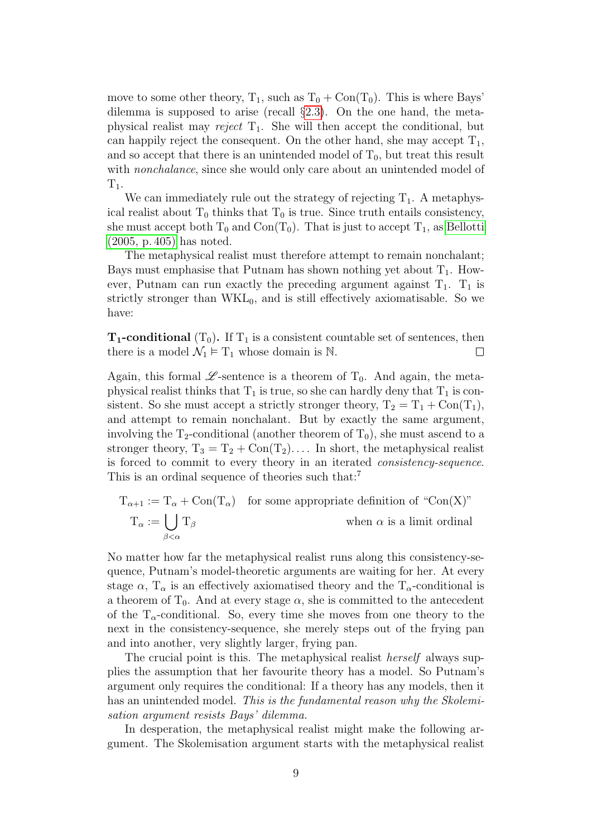move to some other theory,  $T_1$ , such as  $T_0 + \text{Con}(T_0)$ . This is where Bays' dilemma is supposed to arise (recall §[2.3\)](#page-5-0). On the one hand, the metaphysical realist may reject  $T_1$ . She will then accept the conditional, but can happily reject the consequent. On the other hand, she may accept  $T_1$ , and so accept that there is an unintended model of  $T_0$ , but treat this result with *nonchalance*, since she would only care about an unintended model of  $T_1$ .

We can immediately rule out the strategy of rejecting  $T_1$ . A metaphysical realist about  $T_0$  thinks that  $T_0$  is true. Since truth entails consistency, she must accept both  $T_0$  and  $Con(T_0)$ . That is just to accept  $T_1$ , as [Bellotti](#page-30-2) [\(2005, p. 405\)](#page-30-2) has noted.

The metaphysical realist must therefore attempt to remain nonchalant; Bays must emphasise that Putnam has shown nothing yet about  $T_1$ . However, Putnam can run exactly the preceding argument against  $T_1$ .  $T_1$  is strictly stronger than  $WKL_0$ , and is still effectively axiomatisable. So we have:

 $T_1$ -conditional  $(T_0)$ . If  $T_1$  is a consistent countable set of sentences, then there is a model  $\mathcal{N}_1 \models T_1$  whose domain is N.  $\Box$ 

Again, this formal  $\mathscr{L}$ -sentence is a theorem of  $T_0$ . And again, the metaphysical realist thinks that  $T_1$  is true, so she can hardly deny that  $T_1$  is consistent. So she must accept a strictly stronger theory,  $T_2 = T_1 + \text{Con}(T_1)$ , and attempt to remain nonchalant. But by exactly the same argument, involving the  $T_2$ -conditional (another theorem of  $T_0$ ), she must ascend to a stronger theory,  $T_3 = T_2 + \text{Con}(T_2) \dots$  In short, the metaphysical realist is forced to commit to every theory in an iterated consistency-sequence. This is an ordinal sequence of theories such that:<sup>7</sup>

$$
T_{\alpha+1} := T_{\alpha} + Con(T_{\alpha})
$$
 for some appropriate definition of "Con(X)"  

$$
T_{\alpha} := \bigcup_{\beta < \alpha} T_{\beta}
$$
 when  $\alpha$  is a limit ordinal

No matter how far the metaphysical realist runs along this consistency-sequence, Putnam's model-theoretic arguments are waiting for her. At every stage  $\alpha$ ,  $T_{\alpha}$  is an effectively axiomatised theory and the  $T_{\alpha}$ -conditional is a theorem of  $T_0$ . And at every stage  $\alpha$ , she is committed to the antecedent of the  $T_{\alpha}$ -conditional. So, every time she moves from one theory to the next in the consistency-sequence, she merely steps out of the frying pan and into another, very slightly larger, frying pan.

The crucial point is this. The metaphysical realist herself always supplies the assumption that her favourite theory has a model. So Putnam's argument only requires the conditional: If a theory has any models, then it has an unintended model. This is the fundamental reason why the Skolemisation argument resists Bays' dilemma.

In desperation, the metaphysical realist might make the following argument. The Skolemisation argument starts with the metaphysical realist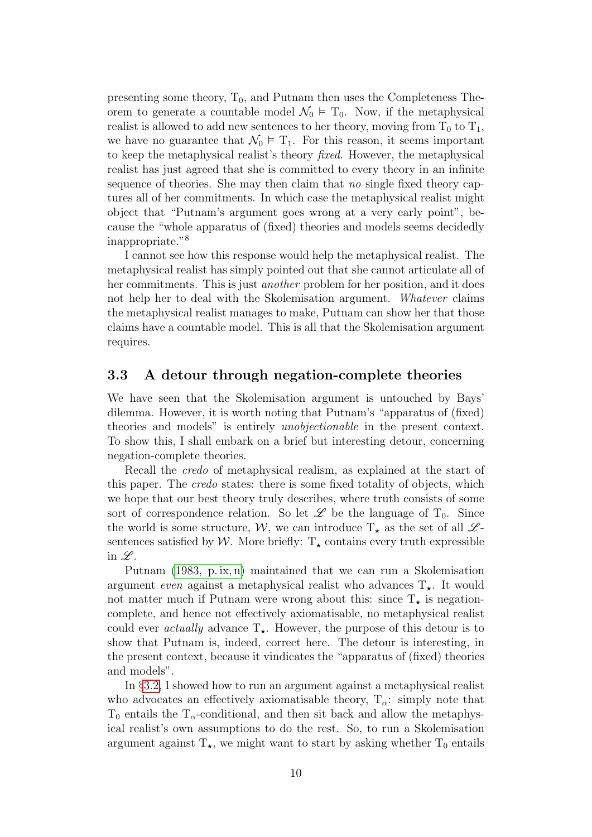presenting some theory,  $T_0$ , and Putnam then uses the Completeness Theorem to generate a countable model  $\mathcal{N}_0 \models T_0$ . Now, if the metaphysical realist is allowed to add new sentences to her theory, moving from  $T_0$  to  $T_1$ , we have no guarantee that  $\mathcal{N}_0 \models T_1$ . For this reason, it seems important to keep the metaphysical realist's theory fixed. However, the metaphysical realist has just agreed that she is committed to every theory in an infinite sequence of theories. She may then claim that no single fixed theory captures all of her commitments. In which case the metaphysical realist might object that "Putnam's argument goes wrong at a very early point", because the "whole apparatus of (fixed) theories and models seems decidedly inappropriate."<sup>8</sup>

I cannot see how this response would help the metaphysical realist. The metaphysical realist has simply pointed out that she cannot articulate all of her commitments. This is just another problem for her position, and it does not help her to deal with the Skolemisation argument. Whatever claims the metaphysical realist manages to make, Putnam can show her that those claims have a countable model. This is all that the Skolemisation argument requires.

#### <span id="page-9-0"></span>3.3 A detour through negation-complete theories

We have seen that the Skolemisation argument is untouched by Bays' dilemma. However, it is worth noting that Putnam's "apparatus of (fixed) theories and models" is entirely unobjectionable in the present context. To show this, I shall embark on a brief but interesting detour, concerning negation-complete theories.

Recall the credo of metaphysical realism, as explained at the start of this paper. The credo states: there is some fixed totality of objects, which we hope that our best theory truly describes, where truth consists of some sort of correspondence relation. So let  $\mathscr L$  be the language of  $T_0$ . Since the world is some structure, W, we can introduce  $T_{\star}$  as the set of all  $\mathscr{L}$ sentences satisfied by W. More briefly:  $T_{\star}$  contains every truth expressible in  $\mathscr{L}.$ 

Putnam [\(1983, p. ix, n\)](#page-31-7) maintained that we can run a Skolemisation argument even against a metaphysical realist who advances  $T_{\star}$ . It would not matter much if Putnam were wrong about this: since  $T_{\star}$  is negationcomplete, and hence not effectively axiomatisable, no metaphysical realist could ever *actually* advance  $T_{\star}$ . However, the purpose of this detour is to show that Putnam is, indeed, correct here. The detour is interesting, in the present context, because it vindicates the "apparatus of (fixed) theories and models".

In §[3.2,](#page-7-0) I showed how to run an argument against a metaphysical realist who advocates an effectively axiomatisable theory,  $T_{\alpha}$ : simply note that  $T_0$  entails the  $T_\alpha$ -conditional, and then sit back and allow the metaphysical realist's own assumptions to do the rest. So, to run a Skolemisation argument against  $T_{\star}$ , we might want to start by asking whether  $T_0$  entails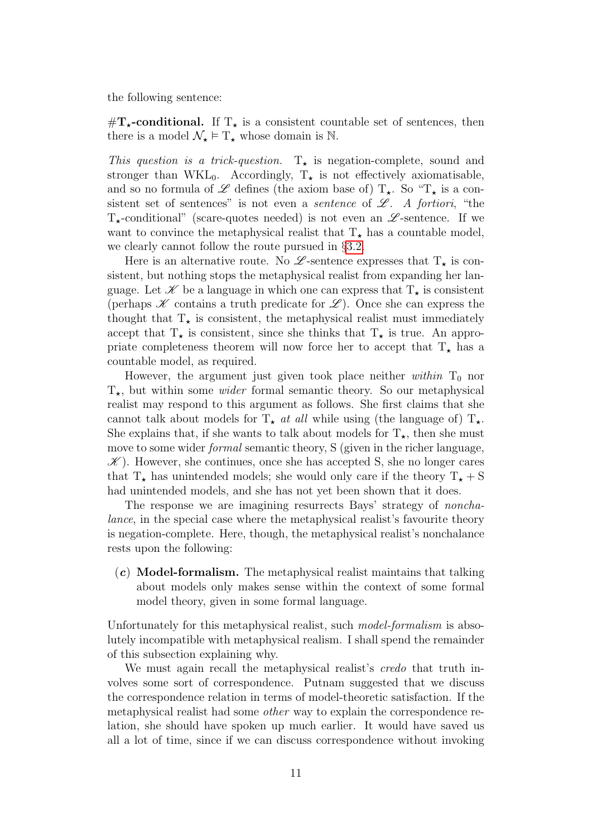the following sentence:

 $\#\mathbf{T}_{\star}\text{-conditional.}$  If  $\mathbf{T}_{\star}$  is a consistent countable set of sentences, then there is a model  $\mathcal{N}_{\star} \models T_{\star}$  whose domain is N.

This question is a trick-question.  $T_{\star}$  is negation-complete, sound and stronger than WKL<sub>0</sub>. Accordingly,  $T_{\star}$  is not effectively axiomatisable, and so no formula of  $\mathscr L$  defines (the axiom base of)  $T_{\star}$ . So " $T_{\star}$  is a consistent set of sentences" is not even a *sentence* of  $\mathscr{L}$ . A fortiori, "the  $T_{\star}$ -conditional" (scare-quotes needed) is not even an  $\mathscr{L}$ -sentence. If we want to convince the metaphysical realist that  $T_{\star}$  has a countable model, we clearly cannot follow the route pursued in §[3.2.](#page-7-0)

Here is an alternative route. No  $\mathscr{L}$ -sentence expresses that  $T_{\star}$  is consistent, but nothing stops the metaphysical realist from expanding her language. Let  $\mathscr K$  be a language in which one can express that  $T_{\star}$  is consistent (perhaps  $K$  contains a truth predicate for  $\mathscr{L}$ ). Once she can express the thought that  $T_{\star}$  is consistent, the metaphysical realist must immediately accept that  $T_{\star}$  is consistent, since she thinks that  $T_{\star}$  is true. An appropriate completeness theorem will now force her to accept that  $T_{\star}$  has a countable model, as required.

However, the argument just given took place neither within  $T_0$  nor  $T_{\star}$ , but within some *wider* formal semantic theory. So our metaphysical realist may respond to this argument as follows. She first claims that she cannot talk about models for  $T_{\star}$  at all while using (the language of)  $T_{\star}$ . She explains that, if she wants to talk about models for  $T_{\star}$ , then she must move to some wider *formal* semantic theory, S (given in the richer language,  $\mathscr{K}$ ). However, she continues, once she has accepted S, she no longer cares that  $T_{\star}$  has unintended models; she would only care if the theory  $T_{\star} + S$ had unintended models, and she has not yet been shown that it does.

The response we are imagining resurrects Bays' strategy of nonchalance, in the special case where the metaphysical realist's favourite theory is negation-complete. Here, though, the metaphysical realist's nonchalance rests upon the following:

 $(c)$  **Model-formalism.** The metaphysical realist maintains that talking about models only makes sense within the context of some formal model theory, given in some formal language.

Unfortunately for this metaphysical realist, such *model-formalism* is absolutely incompatible with metaphysical realism. I shall spend the remainder of this subsection explaining why.

We must again recall the metaphysical realist's *credo* that truth involves some sort of correspondence. Putnam suggested that we discuss the correspondence relation in terms of model-theoretic satisfaction. If the metaphysical realist had some other way to explain the correspondence relation, she should have spoken up much earlier. It would have saved us all a lot of time, since if we can discuss correspondence without invoking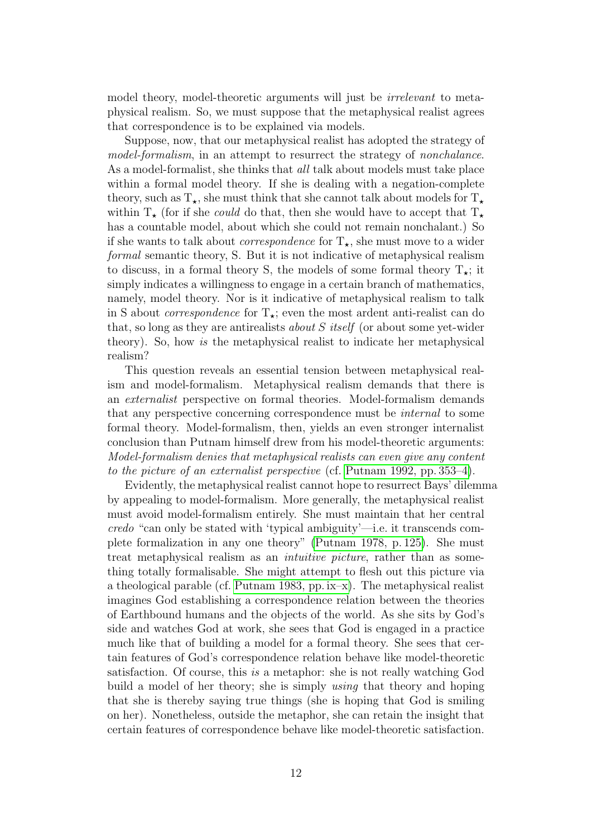model theory, model-theoretic arguments will just be *irrelevant* to metaphysical realism. So, we must suppose that the metaphysical realist agrees that correspondence is to be explained via models.

Suppose, now, that our metaphysical realist has adopted the strategy of model-formalism, in an attempt to resurrect the strategy of nonchalance. As a model-formalist, she thinks that *all* talk about models must take place within a formal model theory. If she is dealing with a negation-complete theory, such as  $T_{\star}$ , she must think that she cannot talk about models for  $T_{\star}$ within  $T_{\star}$  (for if she *could* do that, then she would have to accept that  $T_{\star}$ has a countable model, about which she could not remain nonchalant.) So if she wants to talk about *correspondence* for  $T_{\star}$ , she must move to a wider formal semantic theory, S. But it is not indicative of metaphysical realism to discuss, in a formal theory S, the models of some formal theory  $T_{\star}$ ; it simply indicates a willingness to engage in a certain branch of mathematics, namely, model theory. Nor is it indicative of metaphysical realism to talk in S about *correspondence* for  $T_{\star}$ ; even the most ardent anti-realist can do that, so long as they are antirealists about S itself (or about some yet-wider theory). So, how is the metaphysical realist to indicate her metaphysical realism?

This question reveals an essential tension between metaphysical realism and model-formalism. Metaphysical realism demands that there is an externalist perspective on formal theories. Model-formalism demands that any perspective concerning correspondence must be internal to some formal theory. Model-formalism, then, yields an even stronger internalist conclusion than Putnam himself drew from his model-theoretic arguments: Model-formalism denies that metaphysical realists can even give any content to the picture of an externalist perspective (cf. [Putnam 1992, pp. 353–4\)](#page-31-8).

Evidently, the metaphysical realist cannot hope to resurrect Bays' dilemma by appealing to model-formalism. More generally, the metaphysical realist must avoid model-formalism entirely. She must maintain that her central credo "can only be stated with 'typical ambiguity'—i.e. it transcends complete formalization in any one theory" [\(Putnam 1978, p. 125\)](#page-31-1). She must treat metaphysical realism as an intuitive picture, rather than as something totally formalisable. She might attempt to flesh out this picture via a theological parable (cf. [Putnam 1983, pp. ix–x\)](#page-31-7). The metaphysical realist imagines God establishing a correspondence relation between the theories of Earthbound humans and the objects of the world. As she sits by God's side and watches God at work, she sees that God is engaged in a practice much like that of building a model for a formal theory. She sees that certain features of God's correspondence relation behave like model-theoretic satisfaction. Of course, this is a metaphor: she is not really watching God build a model of her theory; she is simply using that theory and hoping that she is thereby saying true things (she is hoping that God is smiling on her). Nonetheless, outside the metaphor, she can retain the insight that certain features of correspondence behave like model-theoretic satisfaction.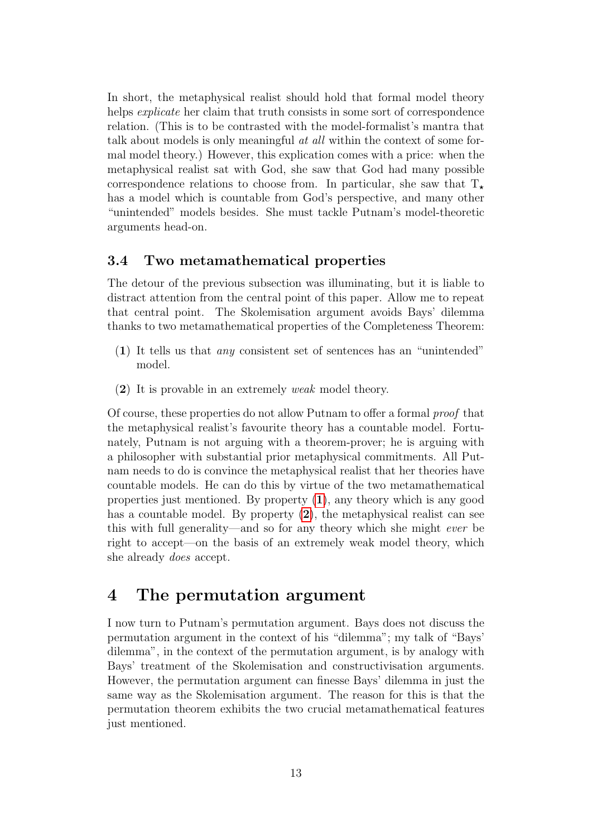In short, the metaphysical realist should hold that formal model theory helps *explicate* her claim that truth consists in some sort of correspondence relation. (This is to be contrasted with the model-formalist's mantra that talk about models is only meaningful *at all* within the context of some formal model theory.) However, this explication comes with a price: when the metaphysical realist sat with God, she saw that God had many possible correspondence relations to choose from. In particular, she saw that  $T_{\star}$ has a model which is countable from God's perspective, and many other "unintended" models besides. She must tackle Putnam's model-theoretic arguments head-on.

#### 3.4 Two metamathematical properties

The detour of the previous subsection was illuminating, but it is liable to distract attention from the central point of this paper. Allow me to repeat that central point. The Skolemisation argument avoids Bays' dilemma thanks to two metamathematical properties of the Completeness Theorem:

- <span id="page-12-0"></span>(1) It tells us that any consistent set of sentences has an "unintended" model.
- <span id="page-12-1"></span>(2) It is provable in an extremely weak model theory.

Of course, these properties do not allow Putnam to offer a formal proof that the metaphysical realist's favourite theory has a countable model. Fortunately, Putnam is not arguing with a theorem-prover; he is arguing with a philosopher with substantial prior metaphysical commitments. All Putnam needs to do is convince the metaphysical realist that her theories have countable models. He can do this by virtue of the two metamathematical properties just mentioned. By property ([1](#page-12-0)), any theory which is any good has a countable model. By property ([2](#page-12-1)), the metaphysical realist can see this with full generality—and so for any theory which she might ever be right to accept—on the basis of an extremely weak model theory, which she already does accept.

### 4 The permutation argument

I now turn to Putnam's permutation argument. Bays does not discuss the permutation argument in the context of his "dilemma"; my talk of "Bays' dilemma", in the context of the permutation argument, is by analogy with Bays' treatment of the Skolemisation and constructivisation arguments. However, the permutation argument can finesse Bays' dilemma in just the same way as the Skolemisation argument. The reason for this is that the permutation theorem exhibits the two crucial metamathematical features just mentioned.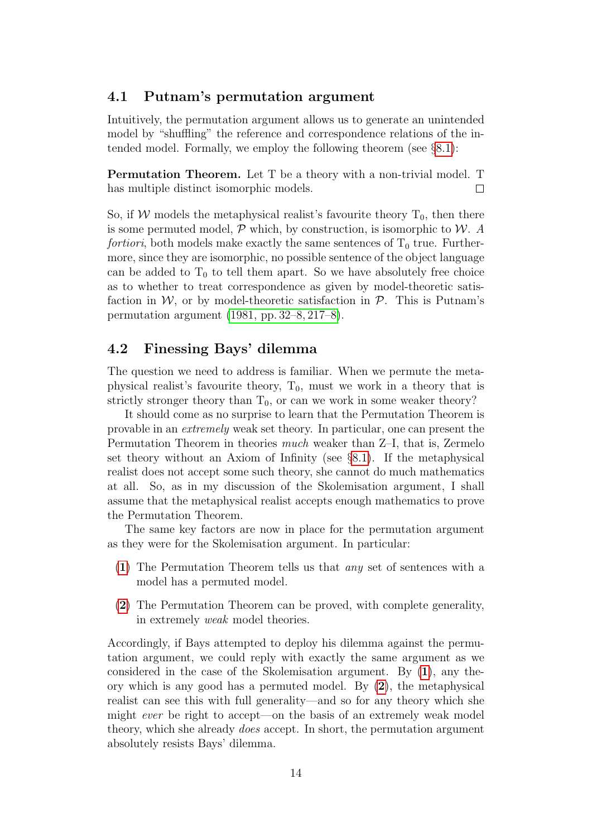#### 4.1 Putnam's permutation argument

Intuitively, the permutation argument allows us to generate an unintended model by "shuffling" the reference and correspondence relations of the intended model. Formally, we employ the following theorem (see §[8.1\)](#page-20-0):

Permutation Theorem. Let T be a theory with a non-trivial model. T has multiple distinct isomorphic models.  $\Box$ 

So, if W models the metaphysical realist's favourite theory  $T_0$ , then there is some permuted model,  $P$  which, by construction, is isomorphic to  $W$ . A fortiori, both models make exactly the same sentences of  $T_0$  true. Furthermore, since they are isomorphic, no possible sentence of the object language can be added to  $T_0$  to tell them apart. So we have absolutely free choice as to whether to treat correspondence as given by model-theoretic satisfaction in  $W$ , or by model-theoretic satisfaction in  $P$ . This is Putnam's permutation argument [\(1981, pp. 32–8, 217–8\)](#page-31-0).

#### 4.2 Finessing Bays' dilemma

The question we need to address is familiar. When we permute the metaphysical realist's favourite theory,  $T_0$ , must we work in a theory that is strictly stronger theory than  $T_0$ , or can we work in some weaker theory?

It should come as no surprise to learn that the Permutation Theorem is provable in an extremely weak set theory. In particular, one can present the Permutation Theorem in theories much weaker than Z–I, that is, Zermelo set theory without an Axiom of Infinity (see §[8.1\)](#page-20-0). If the metaphysical realist does not accept some such theory, she cannot do much mathematics at all. So, as in my discussion of the Skolemisation argument, I shall assume that the metaphysical realist accepts enough mathematics to prove the Permutation Theorem.

The same key factors are now in place for the permutation argument as they were for the Skolemisation argument. In particular:

- ([1](#page-12-0)) The Permutation Theorem tells us that any set of sentences with a model has a permuted model.
- ([2](#page-12-1)) The Permutation Theorem can be proved, with complete generality, in extremely weak model theories.

Accordingly, if Bays attempted to deploy his dilemma against the permutation argument, we could reply with exactly the same argument as we considered in the case of the Skolemisation argument. By  $(1)$  $(1)$  $(1)$ , any theory which is any good has a permuted model. By ([2](#page-12-1)), the metaphysical realist can see this with full generality—and so for any theory which she might ever be right to accept—on the basis of an extremely weak model theory, which she already does accept. In short, the permutation argument absolutely resists Bays' dilemma.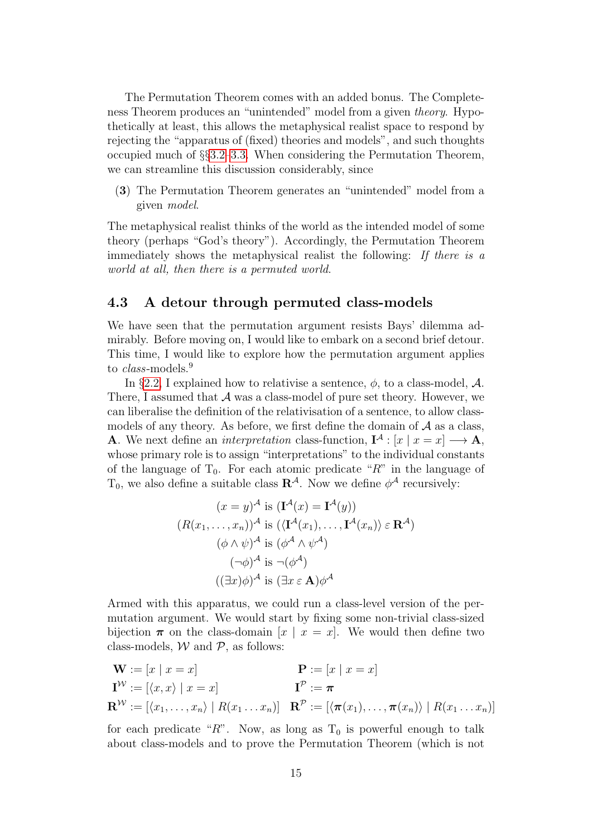The Permutation Theorem comes with an added bonus. The Completeness Theorem produces an "unintended" model from a given theory. Hypothetically at least, this allows the metaphysical realist space to respond by rejecting the "apparatus of (fixed) theories and models", and such thoughts occupied much of §§[3.2](#page-7-0)[–3.3.](#page-9-0) When considering the Permutation Theorem, we can streamline this discussion considerably, since

<span id="page-14-1"></span>(3) The Permutation Theorem generates an "unintended" model from a given model.

The metaphysical realist thinks of the world as the intended model of some theory (perhaps "God's theory"). Accordingly, the Permutation Theorem immediately shows the metaphysical realist the following: If there is a world at all, then there is a permuted world.

#### <span id="page-14-0"></span>4.3 A detour through permuted class-models

We have seen that the permutation argument resists Bays' dilemma admirably. Before moving on, I would like to embark on a second brief detour. This time, I would like to explore how the permutation argument applies to *class*-models.<sup>9</sup>

In §[2.2,](#page-3-0) I explained how to relativise a sentence,  $\phi$ , to a class-model,  $\mathcal{A}$ . There, I assumed that  $A$  was a class-model of pure set theory. However, we can liberalise the definition of the relativisation of a sentence, to allow classmodels of any theory. As before, we first define the domain of  $A$  as a class, **A**. We next define an *interpretation* class-function,  $I^A$  :  $[x \mid x = x] \longrightarrow A$ , whose primary role is to assign "interpretations" to the individual constants of the language of  $T_0$ . For each atomic predicate " $R$ " in the language of  $T_0$ , we also define a suitable class  $\mathbb{R}^{\mathcal{A}}$ . Now we define  $\phi^{\mathcal{A}}$  recursively:

$$
(x = y)^{\mathcal{A}} \text{ is } (\mathbf{I}^{\mathcal{A}}(x) = \mathbf{I}^{\mathcal{A}}(y))
$$
  

$$
(R(x_1, \dots, x_n))^{\mathcal{A}} \text{ is } (\langle \mathbf{I}^{\mathcal{A}}(x_1), \dots, \mathbf{I}^{\mathcal{A}}(x_n) \rangle \in \mathbf{R}^{\mathcal{A}})
$$
  

$$
(\phi \land \psi)^{\mathcal{A}} \text{ is } (\phi^{\mathcal{A}} \land \psi^{\mathcal{A}})
$$
  

$$
(\neg \phi)^{\mathcal{A}} \text{ is } \neg (\phi^{\mathcal{A}})
$$
  

$$
((\exists x)\phi)^{\mathcal{A}} \text{ is } (\exists x \in \mathbf{A})\phi^{\mathcal{A}}
$$

Armed with this apparatus, we could run a class-level version of the permutation argument. We would start by fixing some non-trivial class-sized bijection  $\pi$  on the class-domain  $[x \mid x = x]$ . We would then define two class-models,  $W$  and  $P$ , as follows:

$$
\mathbf{W} := [x \mid x = x] \qquad \mathbf{P} := [x \mid x = x]
$$
  
\n
$$
\mathbf{I}^{\mathcal{W}} := [\langle x, x \rangle \mid x = x] \qquad \mathbf{I}^{\mathcal{P}} := \boldsymbol{\pi}
$$
  
\n
$$
\mathbf{R}^{\mathcal{W}} := [\langle x_1, \dots, x_n \rangle \mid R(x_1 \dots x_n)] \quad \mathbf{R}^{\mathcal{P}} := [\langle \boldsymbol{\pi}(x_1), \dots, \boldsymbol{\pi}(x_n) \rangle \mid R(x_1 \dots x_n)]
$$

for each predicate "R". Now, as long as  $T_0$  is powerful enough to talk about class-models and to prove the Permutation Theorem (which is not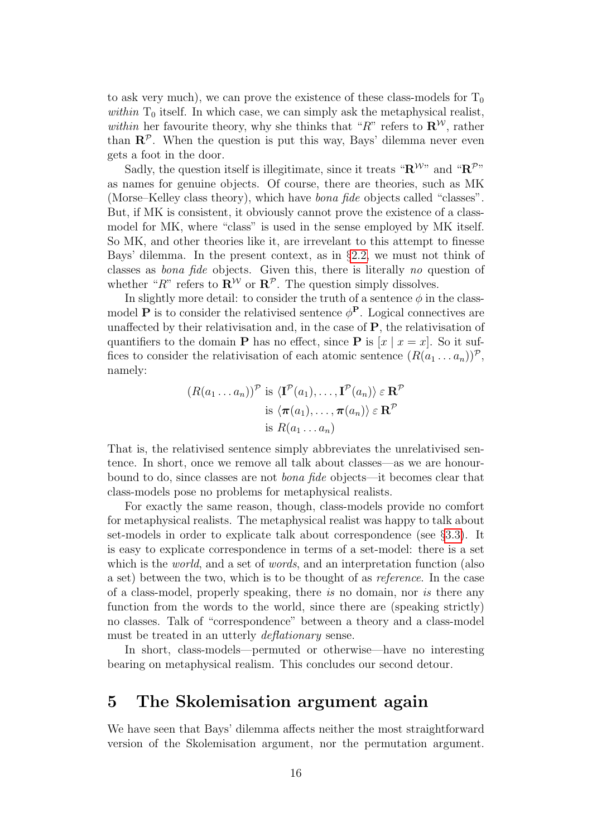to ask very much), we can prove the existence of these class-models for  $T_0$ within  $T_0$  itself. In which case, we can simply ask the metaphysical realist, within her favourite theory, why she thinks that "R" refers to  $\mathbb{R}^{\mathcal{W}}$ , rather than  $\mathbb{R}^p$ . When the question is put this way, Bays' dilemma never even gets a foot in the door.

Sadly, the question itself is illegitimate, since it treats " $\mathbf{R}^{Wn}$ " and " $\mathbf{R}^{\mathcal{P}n}$ " as names for genuine objects. Of course, there are theories, such as MK (Morse–Kelley class theory), which have bona fide objects called "classes". But, if MK is consistent, it obviously cannot prove the existence of a classmodel for MK, where "class" is used in the sense employed by MK itself. So MK, and other theories like it, are irrevelant to this attempt to finesse Bays' dilemma. In the present context, as in §[2.2,](#page-3-0) we must not think of classes as bona fide objects. Given this, there is literally no question of whether "R" refers to  $\mathbb{R}^{\mathcal{W}}$  or  $\mathbb{R}^{\mathcal{P}}$ . The question simply dissolves.

In slightly more detail: to consider the truth of a sentence  $\phi$  in the classmodel **P** is to consider the relativised sentence  $\phi^{\text{P}}$ . Logical connectives are unaffected by their relativisation and, in the case of P, the relativisation of quantifiers to the domain **P** has no effect, since **P** is  $[x \mid x = x]$ . So it suffices to consider the relativisation of each atomic sentence  $(R(a_1 \ldots a_n))^{\mathcal{P}}$ , namely:

$$
(R(a_1 \ldots a_n))^{\mathcal{P}} \text{ is } \langle \mathbf{I}^{\mathcal{P}}(a_1), \ldots, \mathbf{I}^{\mathcal{P}}(a_n) \rangle \in \mathbf{R}^{\mathcal{P}}
$$
  
is  $\langle \boldsymbol{\pi}(a_1), \ldots, \boldsymbol{\pi}(a_n) \rangle \in \mathbf{R}^{\mathcal{P}}$   
is  $R(a_1 \ldots a_n)$ 

That is, the relativised sentence simply abbreviates the unrelativised sentence. In short, once we remove all talk about classes—as we are honourbound to do, since classes are not bona fide objects—it becomes clear that class-models pose no problems for metaphysical realists.

For exactly the same reason, though, class-models provide no comfort for metaphysical realists. The metaphysical realist was happy to talk about set-models in order to explicate talk about correspondence (see §[3.3\)](#page-9-0). It is easy to explicate correspondence in terms of a set-model: there is a set which is the *world*, and a set of *words*, and an interpretation function (also a set) between the two, which is to be thought of as reference. In the case of a class-model, properly speaking, there is no domain, nor is there any function from the words to the world, since there are (speaking strictly) no classes. Talk of "correspondence" between a theory and a class-model must be treated in an utterly *deflationary* sense.

In short, class-models—permuted or otherwise—have no interesting bearing on metaphysical realism. This concludes our second detour.

### <span id="page-15-0"></span>5 The Skolemisation argument again

We have seen that Bays' dilemma affects neither the most straightforward version of the Skolemisation argument, nor the permutation argument.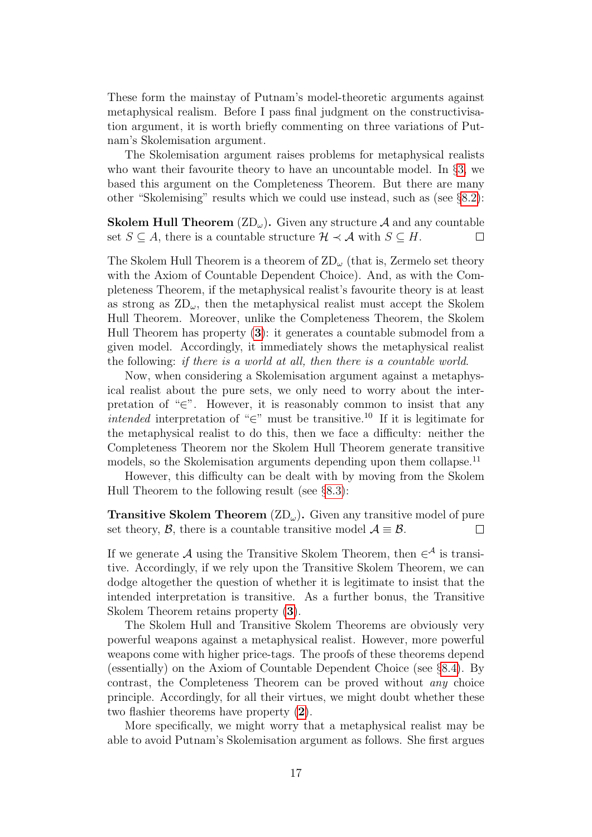These form the mainstay of Putnam's model-theoretic arguments against metaphysical realism. Before I pass final judgment on the constructivisation argument, it is worth briefly commenting on three variations of Putnam's Skolemisation argument.

The Skolemisation argument raises problems for metaphysical realists who want their favourite theory to have an uncountable model. In §[3,](#page-6-0) we based this argument on the Completeness Theorem. But there are many other "Skolemising" results which we could use instead, such as (see §[8.2\)](#page-22-0):

**Skolem Hull Theorem**  $(\mathbb{Z}D_{\omega})$ . Given any structure A and any countable set  $S \subseteq A$ , there is a countable structure  $\mathcal{H} \prec \mathcal{A}$  with  $S \subseteq H$ .  $\Box$ 

The Skolem Hull Theorem is a theorem of  $\mathbb{Z}D_{\omega}$  (that is, Zermelo set theory with the Axiom of Countable Dependent Choice). And, as with the Completeness Theorem, if the metaphysical realist's favourite theory is at least as strong as  $\text{ZD}_{\omega}$ , then the metaphysical realist must accept the Skolem Hull Theorem. Moreover, unlike the Completeness Theorem, the Skolem Hull Theorem has property ([3](#page-14-1)): it generates a countable submodel from a given model. Accordingly, it immediately shows the metaphysical realist the following: if there is a world at all, then there is a countable world.

Now, when considering a Skolemisation argument against a metaphysical realist about the pure sets, we only need to worry about the interpretation of "∈". However, it is reasonably common to insist that any *intended* interpretation of "∈" must be transitive.<sup>10</sup> If it is legitimate for the metaphysical realist to do this, then we face a difficulty: neither the Completeness Theorem nor the Skolem Hull Theorem generate transitive models, so the Skolemisation arguments depending upon them collapse.<sup>11</sup>

However, this difficulty can be dealt with by moving from the Skolem Hull Theorem to the following result (see §[8.3\)](#page-24-0):

**Transitive Skolem Theorem**  $(\text{ZD}_{\omega})$ . Given any transitive model of pure set theory,  $\beta$ , there is a countable transitive model  $\mathcal{A} \equiv \mathcal{B}$ .  $\Box$ 

If we generate A using the Transitive Skolem Theorem, then  $\in^{\mathcal{A}}$  is transitive. Accordingly, if we rely upon the Transitive Skolem Theorem, we can dodge altogether the question of whether it is legitimate to insist that the intended interpretation is transitive. As a further bonus, the Transitive Skolem Theorem retains property ([3](#page-14-1)).

The Skolem Hull and Transitive Skolem Theorems are obviously very powerful weapons against a metaphysical realist. However, more powerful weapons come with higher price-tags. The proofs of these theorems depend (essentially) on the Axiom of Countable Dependent Choice (see §[8.4\)](#page-26-0). By contrast, the Completeness Theorem can be proved without any choice principle. Accordingly, for all their virtues, we might doubt whether these two flashier theorems have property ([2](#page-12-1)).

More specifically, we might worry that a metaphysical realist may be able to avoid Putnam's Skolemisation argument as follows. She first argues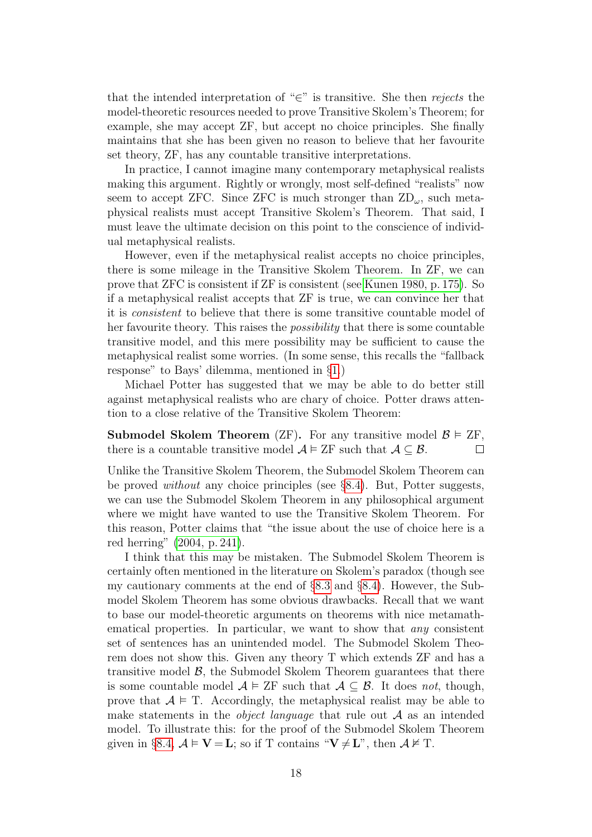that the intended interpretation of "∈" is transitive. She then rejects the model-theoretic resources needed to prove Transitive Skolem's Theorem; for example, she may accept ZF, but accept no choice principles. She finally maintains that she has been given no reason to believe that her favourite set theory, ZF, has any countable transitive interpretations.

In practice, I cannot imagine many contemporary metaphysical realists making this argument. Rightly or wrongly, most self-defined "realists" now seem to accept ZFC. Since ZFC is much stronger than  $\text{ZD}_{\omega}$ , such metaphysical realists must accept Transitive Skolem's Theorem. That said, I must leave the ultimate decision on this point to the conscience of individual metaphysical realists.

However, even if the metaphysical realist accepts no choice principles, there is some mileage in the Transitive Skolem Theorem. In ZF, we can prove that ZFC is consistent if ZF is consistent (see [Kunen 1980, p. 175\)](#page-30-3). So if a metaphysical realist accepts that ZF is true, we can convince her that it is consistent to believe that there is some transitive countable model of her favourite theory. This raises the *possibility* that there is some countable transitive model, and this mere possibility may be sufficient to cause the metaphysical realist some worries. (In some sense, this recalls the "fallback response" to Bays' dilemma, mentioned in §[1.](#page-1-0))

Michael Potter has suggested that we may be able to do better still against metaphysical realists who are chary of choice. Potter draws attention to a close relative of the Transitive Skolem Theorem:

**Submodel Skolem Theorem** (ZF). For any transitive model  $\mathcal{B} \models \text{ZF},$ there is a countable transitive model  $A \models \text{ZF}$  such that  $A \subseteq \mathcal{B}$ .  $\Box$ 

Unlike the Transitive Skolem Theorem, the Submodel Skolem Theorem can be proved *without* any choice principles (see  $\S 8.4$ ). But, Potter suggests, we can use the Submodel Skolem Theorem in any philosophical argument where we might have wanted to use the Transitive Skolem Theorem. For this reason, Potter claims that "the issue about the use of choice here is a red herring" [\(2004, p. 241\)](#page-30-5).

I think that this may be mistaken. The Submodel Skolem Theorem is certainly often mentioned in the literature on Skolem's paradox (though see my cautionary comments at the end of §[8.3](#page-24-0) and §[8.4\)](#page-26-0). However, the Submodel Skolem Theorem has some obvious drawbacks. Recall that we want to base our model-theoretic arguments on theorems with nice metamathematical properties. In particular, we want to show that any consistent set of sentences has an unintended model. The Submodel Skolem Theorem does not show this. Given any theory T which extends ZF and has a transitive model  $\beta$ , the Submodel Skolem Theorem guarantees that there is some countable model  $A \models \text{ZF}$  such that  $A \subseteq \mathcal{B}$ . It does not, though, prove that  $A \models T$ . Accordingly, the metaphysical realist may be able to make statements in the *object language* that rule out  $A$  as an intended model. To illustrate this: for the proof of the Submodel Skolem Theorem given in §[8.4,](#page-26-0)  $\mathcal{A} \models \mathbf{V} = \mathbf{L}$ ; so if T contains " $\mathbf{V} \neq \mathbf{L}$ ", then  $\mathcal{A} \not\models T$ .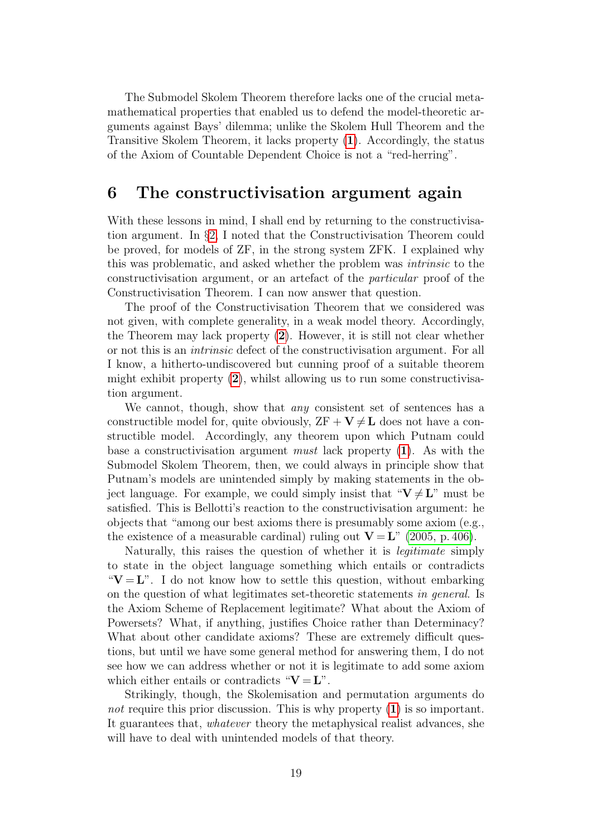The Submodel Skolem Theorem therefore lacks one of the crucial metamathematical properties that enabled us to defend the model-theoretic arguments against Bays' dilemma; unlike the Skolem Hull Theorem and the Transitive Skolem Theorem, it lacks property ([1](#page-12-0)). Accordingly, the status of the Axiom of Countable Dependent Choice is not a "red-herring".

### <span id="page-18-0"></span>6 The constructivisation argument again

With these lessons in mind, I shall end by returning to the constructivisation argument. In §[2,](#page-2-0) I noted that the Constructivisation Theorem could be proved, for models of ZF, in the strong system ZFK. I explained why this was problematic, and asked whether the problem was intrinsic to the constructivisation argument, or an artefact of the particular proof of the Constructivisation Theorem. I can now answer that question.

The proof of the Constructivisation Theorem that we considered was not given, with complete generality, in a weak model theory. Accordingly, the Theorem may lack property ([2](#page-12-1)). However, it is still not clear whether or not this is an intrinsic defect of the constructivisation argument. For all I know, a hitherto-undiscovered but cunning proof of a suitable theorem might exhibit property  $(2)$  $(2)$  $(2)$ , whilst allowing us to run some constructivisation argument.

We cannot, though, show that *any* consistent set of sentences has a constructible model for, quite obviously,  $ZF + V \neq L$  does not have a constructible model. Accordingly, any theorem upon which Putnam could base a constructivisation argument must lack property  $(1)$  $(1)$  $(1)$ . As with the Submodel Skolem Theorem, then, we could always in principle show that Putnam's models are unintended simply by making statements in the object language. For example, we could simply insist that " $V \neq L$ " must be satisfied. This is Bellotti's reaction to the constructivisation argument: he objects that "among our best axioms there is presumably some axiom (e.g., the existence of a measurable cardinal) ruling out  $V = L^{\prime\prime}$  [\(2005, p. 406\)](#page-30-2).

Naturally, this raises the question of whether it is legitimate simply to state in the object language something which entails or contradicts " $V = L$ ". I do not know how to settle this question, without embarking on the question of what legitimates set-theoretic statements in general. Is the Axiom Scheme of Replacement legitimate? What about the Axiom of Powersets? What, if anything, justifies Choice rather than Determinacy? What about other candidate axioms? These are extremely difficult questions, but until we have some general method for answering them, I do not see how we can address whether or not it is legitimate to add some axiom which either entails or contradicts " $V = L$ ".

Strikingly, though, the Skolemisation and permutation arguments do not require this prior discussion. This is why property  $(1)$  $(1)$  $(1)$  is so important. It guarantees that, whatever theory the metaphysical realist advances, she will have to deal with unintended models of that theory.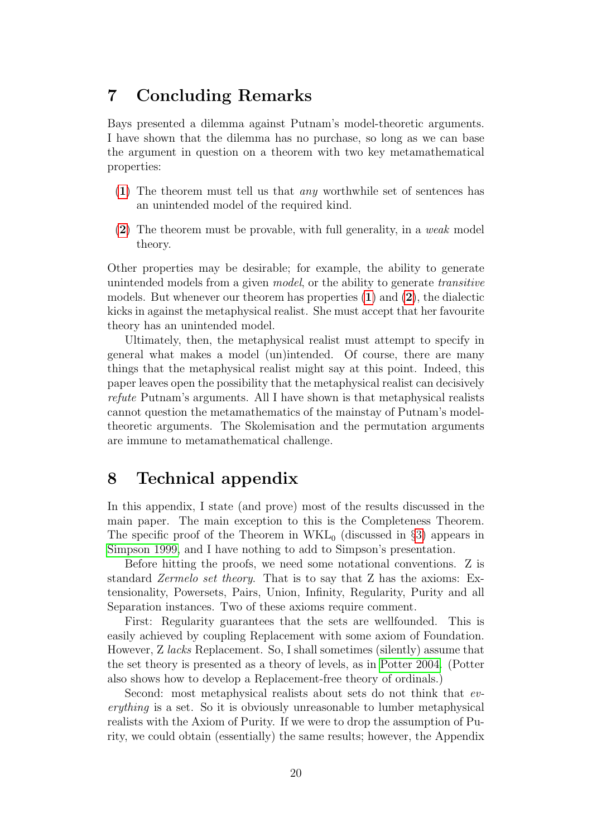# 7 Concluding Remarks

Bays presented a dilemma against Putnam's model-theoretic arguments. I have shown that the dilemma has no purchase, so long as we can base the argument in question on a theorem with two key metamathematical properties:

- ([1](#page-12-0)) The theorem must tell us that any worthwhile set of sentences has an unintended model of the required kind.
- ([2](#page-12-1)) The theorem must be provable, with full generality, in a weak model theory.

Other properties may be desirable; for example, the ability to generate unintended models from a given model, or the ability to generate transitive models. But whenever our theorem has properties  $(1)$  $(1)$  $(1)$  and  $(2)$  $(2)$  $(2)$ , the dialectic kicks in against the metaphysical realist. She must accept that her favourite theory has an unintended model.

Ultimately, then, the metaphysical realist must attempt to specify in general what makes a model (un)intended. Of course, there are many things that the metaphysical realist might say at this point. Indeed, this paper leaves open the possibility that the metaphysical realist can decisively refute Putnam's arguments. All I have shown is that metaphysical realists cannot question the metamathematics of the mainstay of Putnam's modeltheoretic arguments. The Skolemisation and the permutation arguments are immune to metamathematical challenge.

# <span id="page-19-0"></span>8 Technical appendix

In this appendix, I state (and prove) most of the results discussed in the main paper. The main exception to this is the Completeness Theorem. The specific proof of the Theorem in  $WKL_0$  (discussed in §[3\)](#page-6-0) appears in [Simpson 1999,](#page-31-6) and I have nothing to add to Simpson's presentation.

Before hitting the proofs, we need some notational conventions. Z is standard Zermelo set theory. That is to say that Z has the axioms: Extensionality, Powersets, Pairs, Union, Infinity, Regularity, Purity and all Separation instances. Two of these axioms require comment.

First: Regularity guarantees that the sets are wellfounded. This is easily achieved by coupling Replacement with some axiom of Foundation. However, Z lacks Replacement. So, I shall sometimes (silently) assume that the set theory is presented as a theory of levels, as in [Potter 2004.](#page-30-5) (Potter also shows how to develop a Replacement-free theory of ordinals.)

Second: most metaphysical realists about sets do not think that everything is a set. So it is obviously unreasonable to lumber metaphysical realists with the Axiom of Purity. If we were to drop the assumption of Purity, we could obtain (essentially) the same results; however, the Appendix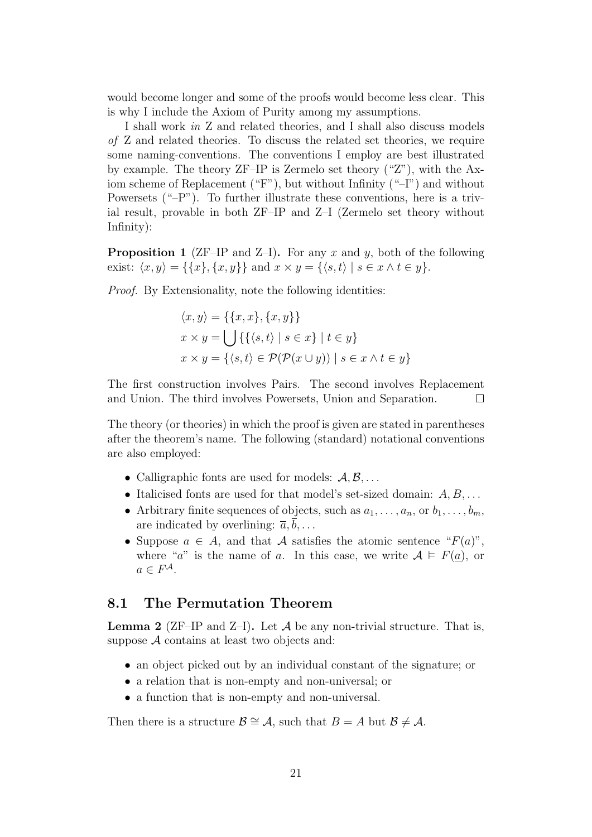would become longer and some of the proofs would become less clear. This is why I include the Axiom of Purity among my assumptions.

I shall work in Z and related theories, and I shall also discuss models of Z and related theories. To discuss the related set theories, we require some naming-conventions. The conventions I employ are best illustrated by example. The theory ZF–IP is Zermelo set theory ("Z"), with the Axiom scheme of Replacement ("F"), but without Infinity ("–I") and without Powersets ("–P"). To further illustrate these conventions, here is a trivial result, provable in both ZF–IP and Z–I (Zermelo set theory without Infinity):

<span id="page-20-1"></span>**Proposition 1** (ZF–IP and Z–I). For any x and y, both of the following exist:  $\langle x, y \rangle = {\{x\}, \{x, y\}}$  and  $x \times y = {\langle s, t \rangle | s \in x \land t \in y}.$ 

Proof. By Extensionality, note the following identities:

$$
\langle x, y \rangle = \{ \{x, x\}, \{x, y\} \}
$$

$$
x \times y = \bigcup \{ \{ \langle s, t \rangle \mid s \in x \} \mid t \in y \}
$$

$$
x \times y = \{ \langle s, t \rangle \in \mathcal{P}(\mathcal{P}(x \cup y)) \mid s \in x \land t \in y \}
$$

The first construction involves Pairs. The second involves Replacement and Union. The third involves Powersets, Union and Separation.  $\Box$ 

The theory (or theories) in which the proof is given are stated in parentheses after the theorem's name. The following (standard) notational conventions are also employed:

- Calligraphic fonts are used for models:  $A, B, \ldots$
- Italicised fonts are used for that model's set-sized domain:  $A, B, \ldots$
- Arbitrary finite sequences of objects, such as  $a_1, \ldots, a_n$ , or  $b_1, \ldots, b_m$ , are indicated by overlining:  $\overline{a}, b, \ldots$
- Suppose  $a \in A$ , and that A satisfies the atomic sentence " $F(a)$ ", where "a" is the name of a. In this case, we write  $A \models F(\underline{a})$ , or  $a \in F^{\mathcal{A}}$ .

#### <span id="page-20-0"></span>8.1 The Permutation Theorem

<span id="page-20-2"></span>**Lemma 2** (ZF–IP and Z–I). Let  $\mathcal A$  be any non-trivial structure. That is, suppose  $A$  contains at least two objects and:

- an object picked out by an individual constant of the signature; or
- a relation that is non-empty and non-universal; or
- a function that is non-empty and non-universal.

Then there is a structure  $\mathcal{B} \cong \mathcal{A}$ , such that  $B = A$  but  $\mathcal{B} \neq \mathcal{A}$ .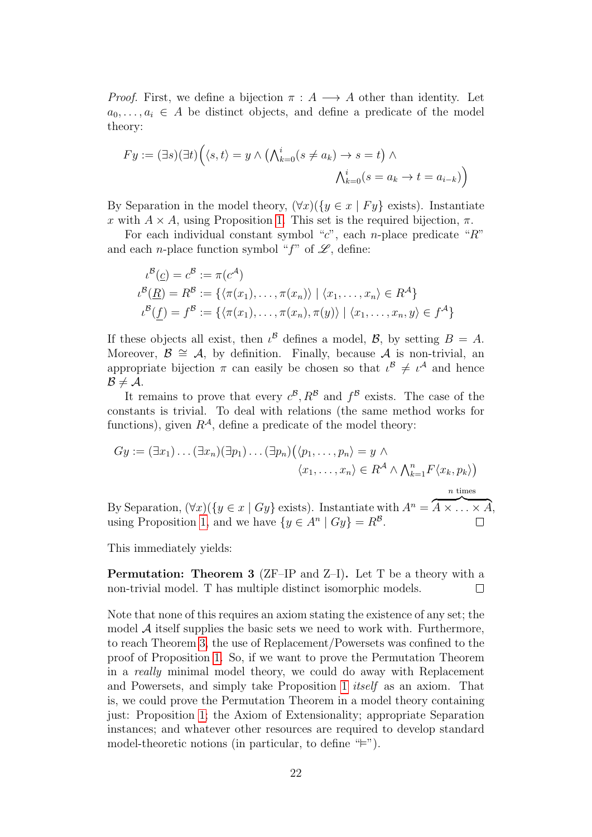*Proof.* First, we define a bijection  $\pi : A \longrightarrow A$  other than identity. Let  $a_0, \ldots, a_i \in A$  be distinct objects, and define a predicate of the model theory:

$$
Fy := (\exists s)(\exists t) \Big( \langle s, t \rangle = y \land \Big( \bigwedge_{k=0}^{i} (s \neq a_k) \to s = t \Big) \land \bigwedge_{k=0}^{i} (s = a_k \to t = a_{i-k}) \Big)
$$

By Separation in the model theory,  $(\forall x)(\{y \in x \mid Fy\})$  exists). Instantiate x with  $A \times A$ , using Proposition [1.](#page-20-1) This set is the required bijection,  $\pi$ .

For each individual constant symbol "c", each n-place predicate "R" and each *n*-place function symbol " $f$ " of  $\mathscr{L}$ , define:

$$
\iota^{\mathcal{B}}(\underline{c}) = c^{\mathcal{B}} := \pi(c^{\mathcal{A}})
$$
  
\n
$$
\iota^{\mathcal{B}}(\underline{R}) = R^{\mathcal{B}} := \{ \langle \pi(x_1), \dots, \pi(x_n) \rangle \mid \langle x_1, \dots, x_n \rangle \in R^{\mathcal{A}} \}
$$
  
\n
$$
\iota^{\mathcal{B}}(f) = f^{\mathcal{B}} := \{ \langle \pi(x_1), \dots, \pi(x_n), \pi(y) \rangle \mid \langle x_1, \dots, x_n, y \rangle \in f^{\mathcal{A}} \}
$$

If these objects all exist, then  $\iota^{\mathcal{B}}$  defines a model,  $\mathcal{B}$ , by setting  $B = A$ . Moreover,  $\mathcal{B} \cong \mathcal{A}$ , by definition. Finally, because  $\mathcal{A}$  is non-trivial, an appropriate bijection  $\pi$  can easily be chosen so that  $\iota^{\mathcal{B}} \neq \iota^{\mathcal{A}}$  and hence  $B \neq A$ .

It remains to prove that every  $c^{\beta}, R^{\beta}$  and  $f^{\beta}$  exists. The case of the constants is trivial. To deal with relations (the same method works for functions), given  $R^{\mathcal{A}}$ , define a predicate of the model theory:

$$
Gy := (\exists x_1) \dots (\exists x_n) (\exists p_1) \dots (\exists p_n) (\langle p_1, \dots, p_n \rangle = y \land \langle x_1, \dots, x_n \rangle \in R^A \land \bigwedge_{k=1}^n F \langle x_k, p_k \rangle
$$
)

By Separation,  $(\forall x)(\{y \in x \mid Gy\})$  exists). Instantiate with  $A^n = \overbrace{A \times \ldots \times A}$ , using Proposition [1,](#page-20-1) and we have  $\{y \in A^n | Gy\} = R^{\mathcal{B}}$ .  $\Box$ 

This immediately yields:

<span id="page-21-0"></span>Permutation: Theorem 3 (ZF–IP and Z–I). Let T be a theory with a non-trivial model. T has multiple distinct isomorphic models.  $\Box$ 

Note that none of this requires an axiom stating the existence of any set; the model  $A$  itself supplies the basic sets we need to work with. Furthermore, to reach Theorem [3,](#page-21-0) the use of Replacement/Powersets was confined to the proof of Proposition [1.](#page-20-1) So, if we want to prove the Permutation Theorem in a really minimal model theory, we could do away with Replacement and Powersets, and simply take Proposition [1](#page-20-1) itself as an axiom. That is, we could prove the Permutation Theorem in a model theory containing just: Proposition [1;](#page-20-1) the Axiom of Extensionality; appropriate Separation instances; and whatever other resources are required to develop standard model-theoretic notions (in particular, to define  $F$ ).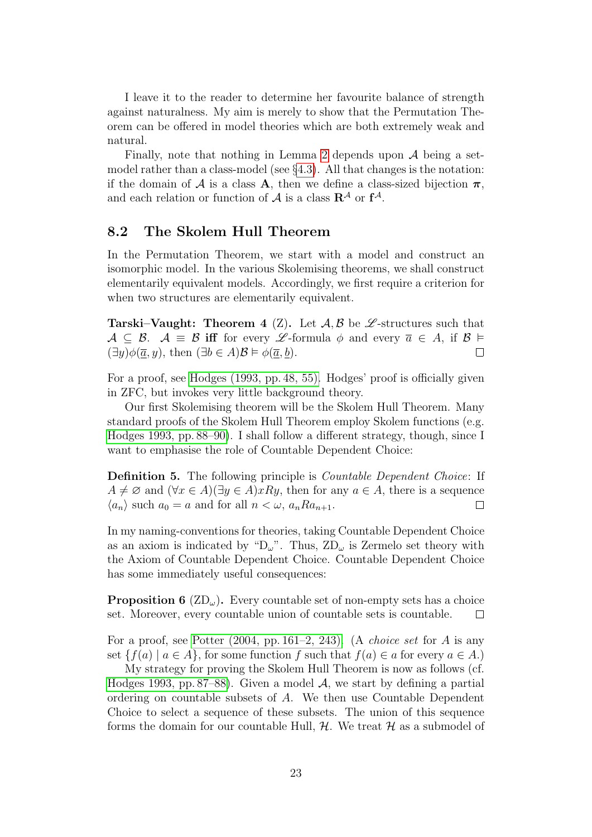I leave it to the reader to determine her favourite balance of strength against naturalness. My aim is merely to show that the Permutation Theorem can be offered in model theories which are both extremely weak and natural.

Finally, note that nothing in Lemma [2](#page-20-2) depends upon  $A$  being a setmodel rather than a class-model (see  $\S 4.3$ ). All that changes is the notation: if the domain of A is a class A, then we define a class-sized bijection  $\pi$ , and each relation or function of  $A$  is a class  $\mathbb{R}^{\mathcal{A}}$  or  $f^{\mathcal{A}}$ .

#### <span id="page-22-0"></span>8.2 The Skolem Hull Theorem

In the Permutation Theorem, we start with a model and construct an isomorphic model. In the various Skolemising theorems, we shall construct elementarily equivalent models. Accordingly, we first require a criterion for when two structures are elementarily equivalent.

<span id="page-22-1"></span>**Tarski–Vaught:** Theorem 4 (Z). Let  $\mathcal{A}, \mathcal{B}$  be  $\mathcal{L}$ -structures such that  $A \subseteq \mathcal{B}$ .  $\mathcal{A} \equiv \mathcal{B}$  iff for every  $\mathcal{L}$ -formula  $\phi$  and every  $\overline{a} \in A$ , if  $\mathcal{B} \models$  $(\exists y)\phi(\overline{a}, y)$ , then  $(\exists b \in A)\mathcal{B} \models \phi(\overline{a}, \underline{b})$ .  $\Box$ 

For a proof, see [Hodges \(1993, pp. 48, 55\).](#page-30-6) Hodges' proof is officially given in ZFC, but invokes very little background theory.

Our first Skolemising theorem will be the Skolem Hull Theorem. Many standard proofs of the Skolem Hull Theorem employ Skolem functions (e.g. [Hodges 1993, pp. 88–90\)](#page-30-6). I shall follow a different strategy, though, since I want to emphasise the role of Countable Dependent Choice:

Definition 5. The following principle is *Countable Dependent Choice*: If  $A \neq \emptyset$  and  $(\forall x \in A)(\exists y \in A)xRy$ , then for any  $a \in A$ , there is a sequence  $\langle a_n \rangle$  such  $a_0 = a$  and for all  $n < \omega$ ,  $a_n R a_{n+1}$ .  $\Box$ 

In my naming-conventions for theories, taking Countable Dependent Choice as an axiom is indicated by " $D_{\omega}$ ". Thus,  $ZD_{\omega}$  is Zermelo set theory with the Axiom of Countable Dependent Choice. Countable Dependent Choice has some immediately useful consequences:

<span id="page-22-2"></span>**Proposition 6** ( $\text{ZD}_{\omega}$ ). Every countable set of non-empty sets has a choice set. Moreover, every countable union of countable sets is countable.  $\Box$ 

For a proof, see Potter  $(2004, pp. 161-2, 243)$ . (A *choice set* for A is any set  $\{f(a) | a \in A\}$ , for some function f such that  $f(a) \in a$  for every  $a \in A$ .

My strategy for proving the Skolem Hull Theorem is now as follows (cf. [Hodges 1993, pp. 87–88\)](#page-30-6). Given a model  $A$ , we start by defining a partial ordering on countable subsets of A. We then use Countable Dependent Choice to select a sequence of these subsets. The union of this sequence forms the domain for our countable Hull,  $H$ . We treat  $H$  as a submodel of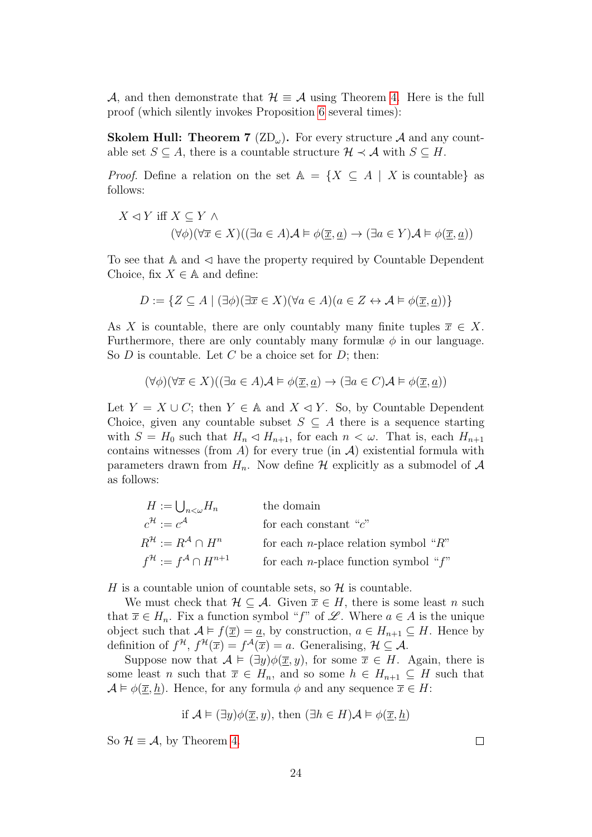A, and then demonstrate that  $\mathcal{H} \equiv \mathcal{A}$  using Theorem [4.](#page-22-1) Here is the full proof (which silently invokes Proposition [6](#page-22-2) several times):

<span id="page-23-0"></span>**Skolem Hull: Theorem 7** (ZD<sub>ω</sub>). For every structure A and any countable set  $S \subseteq A$ , there is a countable structure  $\mathcal{H} \prec \mathcal{A}$  with  $S \subseteq H$ .

*Proof.* Define a relation on the set  $A = \{X \subseteq A \mid X \text{ is countable}\}\$ as follows:

$$
X \lhd Y \text{ iff } X \subseteq Y \land (\forall \phi)(\forall \overline{x} \in X)((\exists a \in A) \mathcal{A} \models \phi(\overline{x}, \underline{a}) \rightarrow (\exists a \in Y) \mathcal{A} \models \phi(\overline{x}, \underline{a}))
$$

To see that  $A$  and  $\triangleleft$  have the property required by Countable Dependent Choice, fix  $X \in \mathbb{A}$  and define:

$$
D := \{ Z \subseteq A \mid (\exists \phi)(\exists \overline{x} \in X)(\forall a \in A)(a \in Z \leftrightarrow \mathcal{A} \models \phi(\overline{x}, \underline{a})) \}
$$

As X is countable, there are only countably many finite tuples  $\overline{x} \in X$ . Furthermore, there are only countably many formulæ  $\phi$  in our language. So  $D$  is countable. Let  $C$  be a choice set for  $D$ ; then:

$$
(\forall \phi)(\forall \overline{x} \in X)((\exists a \in A)\mathcal{A} \models \phi(\overline{\underline{x}}, \underline{a}) \rightarrow (\exists a \in C)\mathcal{A} \models \phi(\overline{\underline{x}}, \underline{a}))
$$

Let  $Y = X \cup C$ ; then  $Y \in \mathbb{A}$  and  $X \triangleleft Y$ . So, by Countable Dependent Choice, given any countable subset  $S \subseteq A$  there is a sequence starting with  $S = H_0$  such that  $H_n \lhd H_{n+1}$ , for each  $n < \omega$ . That is, each  $H_{n+1}$ contains witnesses (from A) for every true (in  $\mathcal{A}$ ) existential formula with parameters drawn from  $H_n$ . Now define H explicitly as a submodel of A as follows:

$$
H := \bigcup_{n < \omega} H_n \qquad \text{the domain}
$$
\n
$$
c^{\mathcal{H}} := c^{\mathcal{A}} \qquad \text{for each constant "c"}
$$
\n
$$
R^{\mathcal{H}} := R^{\mathcal{A}} \cap H^n \qquad \text{for each } n \text{-place relation symbol "R"}
$$
\n
$$
f^{\mathcal{H}} := f^{\mathcal{A}} \cap H^{n+1} \qquad \text{for each } n \text{-place function symbol "f"}
$$

H is a countable union of countable sets, so  $\mathcal H$  is countable.

We must check that  $\mathcal{H} \subseteq \mathcal{A}$ . Given  $\overline{x} \in H$ , there is some least n such that  $\overline{x} \in H_n$ . Fix a function symbol "f" of L'. Where  $a \in A$  is the unique object such that  $A \models f(\overline{x}) = a$ , by construction,  $a \in H_{n+1} \subseteq H$ . Hence by definition of  $f^{\mathcal{H}}, f^{\mathcal{H}}(\overline{x}) = f^{\mathcal{A}}(\overline{x}) = a$ . Generalising,  $\mathcal{H} \subseteq \mathcal{A}$ .

Suppose now that  $A \models (\exists y)\phi(\overline{x}, y)$ , for some  $\overline{x} \in H$ . Again, there is some least n such that  $\overline{x} \in H_n$ , and so some  $h \in H_{n+1} \subseteq H$  such that  $\mathcal{A} \models \phi(\overline{x}, h)$ . Hence, for any formula  $\phi$  and any sequence  $\overline{x} \in H$ :

if 
$$
\mathcal{A} \models (\exists y)\phi(\overline{x}, y)
$$
, then  $(\exists h \in H)\mathcal{A} \models \phi(\overline{x}, \underline{h})$ 

So  $\mathcal{H} \equiv \mathcal{A}$ , by Theorem [4.](#page-22-1)

 $\Box$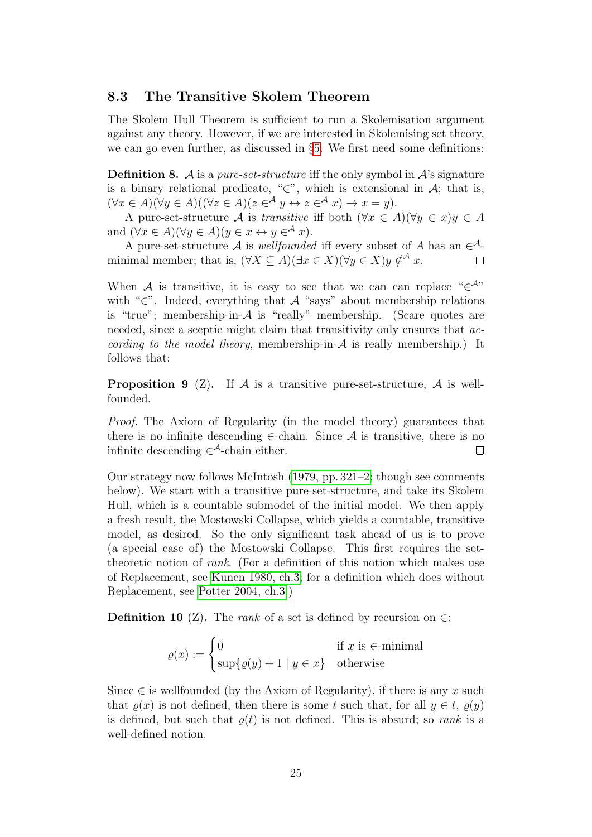#### <span id="page-24-0"></span>8.3 The Transitive Skolem Theorem

The Skolem Hull Theorem is sufficient to run a Skolemisation argument against any theory. However, if we are interested in Skolemising set theory, we can go even further, as discussed in §[5.](#page-15-0) We first need some definitions:

**Definition 8.** A is a *pure-set-structure* iff the only symbol in  $\mathcal{A}$ 's signature is a binary relational predicate, " $\in$ ", which is extensional in A; that is,  $(\forall x \in A)(\forall y \in A)((\forall z \in A)(z \in A \forall y \leftrightarrow z \in A \exists x) \rightarrow x = y).$ 

A pure-set-structure A is transitive iff both  $(\forall x \in A)(\forall y \in x)y \in A$ and  $(\forall x \in A)(\forall y \in A)(y \in x \leftrightarrow y \in^A x)$ .

A pure-set-structure A is *wellfounded* iff every subset of A has an  $\in^{\mathcal{A}}$ minimal member; that is,  $(\forall X \subseteq A)(\exists x \in X)(\forall y \in X)y \notin \mathcal{A}$  x.  $\Box$ 

When A is transitive, it is easy to see that we can can replace " $\in^{\mathcal{A}}$ " with "∈". Indeed, everything that  $A$  "says" about membership relations is "true"; membership-in-A is "really" membership. (Scare quotes are needed, since a sceptic might claim that transitivity only ensures that  $ac$ cording to the model theory, membership-in- $A$  is really membership.) It follows that:

<span id="page-24-1"></span>**Proposition 9** (Z). If  $\mathcal A$  is a transitive pure-set-structure,  $\mathcal A$  is wellfounded.

Proof. The Axiom of Regularity (in the model theory) guarantees that there is no infinite descending  $\in$ -chain. Since  $\mathcal A$  is transitive, there is no infinite descending  $\in^{\mathcal{A}}$ -chain either.  $\Box$ 

Our strategy now follows McIntosh [\(1979, pp. 321–2;](#page-30-7) though see comments below). We start with a transitive pure-set-structure, and take its Skolem Hull, which is a countable submodel of the initial model. We then apply a fresh result, the Mostowski Collapse, which yields a countable, transitive model, as desired. So the only significant task ahead of us is to prove (a special case of) the Mostowski Collapse. This first requires the settheoretic notion of rank. (For a definition of this notion which makes use of Replacement, see [Kunen 1980, ch.3;](#page-30-3) for a definition which does without Replacement, see [Potter 2004, ch.3.](#page-30-5))

<span id="page-24-2"></span>**Definition 10** (Z). The *rank* of a set is defined by recursion on  $∈$ :

$$
\varrho(x) := \begin{cases} 0 & \text{if } x \text{ is } \in \text{-minimal} \\ \sup\{\varrho(y) + 1 \mid y \in x\} & \text{otherwise} \end{cases}
$$

Since  $\in$  is wellfounded (by the Axiom of Regularity), if there is any x such that  $\rho(x)$  is not defined, then there is some t such that, for all  $y \in t$ ,  $\rho(y)$ is defined, but such that  $\varrho(t)$  is not defined. This is absurd; so *rank* is a well-defined notion.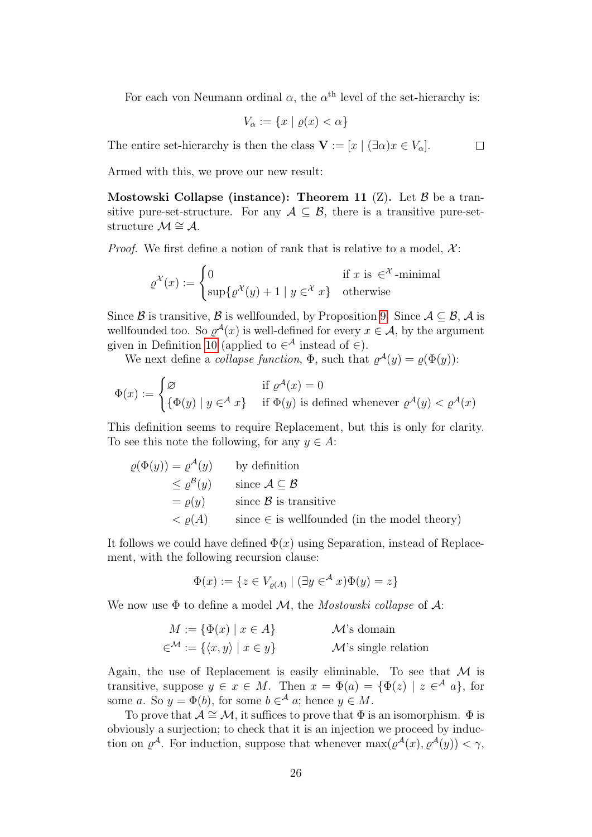For each von Neumann ordinal  $\alpha$ , the  $\alpha^{\text{th}}$  level of the set-hierarchy is:

 $\Box$ 

$$
V_{\alpha} := \{ x \mid \varrho(x) < \alpha \}
$$

The entire set-hierarchy is then the class  $\mathbf{V} := [x \mid (\exists \alpha) x \in V_\alpha].$ 

Armed with this, we prove our new result:

<span id="page-25-0"></span>Mostowski Collapse (instance): Theorem 11  $(Z)$ . Let  $\beta$  be a transitive pure-set-structure. For any  $A \subseteq B$ , there is a transitive pure-setstructure  $\mathcal{M} \cong \mathcal{A}$ .

*Proof.* We first define a notion of rank that is relative to a model,  $\mathcal{X}$ :

$$
\varrho^{\mathcal{X}}(x) := \begin{cases} 0 & \text{if } x \text{ is } \in^{\mathcal{X}}\text{-minimal} \\ \sup\{\varrho^{\mathcal{X}}(y) + 1 \mid y \in^{\mathcal{X}} x\} & \text{otherwise} \end{cases}
$$

Since B is transitive, B is wellfounded, by Proposition [9.](#page-24-1) Since  $A \subseteq B$ , A is wellfounded too. So  $\varrho^{\mathcal{A}}(x)$  is well-defined for every  $x \in \mathcal{A}$ , by the argument given in Definition [10](#page-24-2) (applied to  $\in^{\mathcal{A}}$  instead of  $\in$ ).

We next define a *collapse function*,  $\Phi$ , such that  $\varrho^{\mathcal{A}}(y) = \varrho(\Phi(y))$ :

$$
\Phi(x) := \begin{cases} \varnothing & \text{if } \varrho^{\mathcal{A}}(x) = 0 \\ \{\Phi(y) \mid y \in^{\mathcal{A}} x\} & \text{if } \Phi(y) \text{ is defined whenever } \varrho^{\mathcal{A}}(y) < \varrho^{\mathcal{A}}(x) \end{cases}
$$

This definition seems to require Replacement, but this is only for clarity. To see this note the following, for any  $y \in A$ :

$$
\varrho(\Phi(y)) = \varrho^{\mathcal{A}}(y) \qquad \text{by definition}
$$
  
\n
$$
\leq \varrho^{\mathcal{B}}(y) \qquad \text{since } \mathcal{A} \subseteq \mathcal{B}
$$
  
\n
$$
= \varrho(y) \qquad \text{since } \mathcal{B} \text{ is transitive}
$$
  
\n
$$
< \varrho(A) \qquad \text{since } \in \text{ is well founded (in the model theory)}
$$

It follows we could have defined  $\Phi(x)$  using Separation, instead of Replacement, with the following recursion clause:

$$
\Phi(x) := \{ z \in V_{\varrho(A)} \mid (\exists y \in^{\mathcal{A}} x) \Phi(y) = z \}
$$

We now use  $\Phi$  to define a model M, the *Mostowski collapse* of A:

| $M := \{ \Phi(x) \mid x \in A \}$                              | $\mathcal{M}$ 's domain          |
|----------------------------------------------------------------|----------------------------------|
| $\in^{\mathcal{M}} := \{ \langle x, y \rangle \mid x \in y \}$ | $\mathcal{M}$ 's single relation |

Again, the use of Replacement is easily eliminable. To see that  $M$  is transitive, suppose  $y \in x \in M$ . Then  $x = \Phi(a) = {\Phi(z) | z \in A \ a}$ , for some a. So  $y = \Phi(b)$ , for some  $b \in A$  a; hence  $y \in M$ .

To prove that  $\mathcal{A} \cong \mathcal{M}$ , it suffices to prove that  $\Phi$  is an isomorphism.  $\Phi$  is obviously a surjection; to check that it is an injection we proceed by induction on  $\varrho^{\mathcal{A}}$ . For induction, suppose that whenever  $\max(\varrho^{\mathcal{A}}(x), \varrho^{\mathcal{A}}(y)) < \gamma$ ,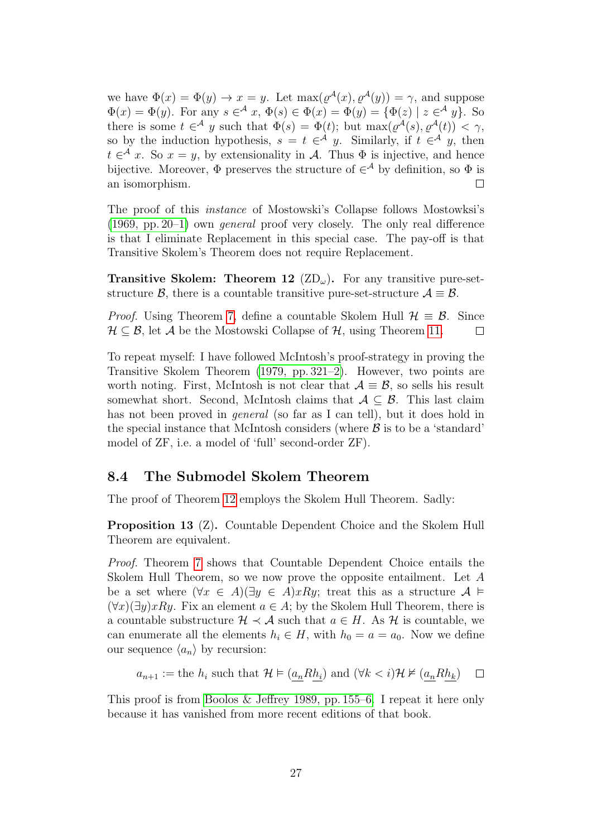we have  $\Phi(x) = \Phi(y) \to x = y$ . Let  $\max(\varrho^{\mathcal{A}}(x), \varrho^{\mathcal{A}}(y)) = \gamma$ , and suppose  $\Phi(x) = \Phi(y)$ . For any  $s \in \mathcal{A}$   $x, \Phi(s) \in \Phi(x) = \Phi(y) = {\Phi(z) | z \in \mathcal{A} y}$ . So there is some  $t \in A$  y such that  $\Phi(s) = \Phi(t)$ ; but  $\max(\varrho^{\mathcal{A}}(s), \varrho^{\mathcal{A}}(t)) < \gamma$ , so by the induction hypothesis,  $s = t \in A$  y. Similarly, if  $t \in A$  y, then  $t \in \mathcal{A}$  x. So  $x = y$ , by extensionality in A. Thus  $\Phi$  is injective, and hence bijective. Moreover,  $\Phi$  preserves the structure of  $\in^{\mathcal{A}}$  by definition, so  $\Phi$  is an isomorphism.  $\Box$ 

The proof of this instance of Mostowski's Collapse follows Mostowksi's [\(1969, pp. 20–1\)](#page-30-8) own general proof very closely. The only real difference is that I eliminate Replacement in this special case. The pay-off is that Transitive Skolem's Theorem does not require Replacement.

<span id="page-26-1"></span>**Transitive Skolem: Theorem 12**  $(\text{ZD}_{\omega})$ . For any transitive pure-setstructure B, there is a countable transitive pure-set-structure  $A \equiv B$ .

*Proof.* Using Theorem [7,](#page-23-0) define a countable Skolem Hull  $\mathcal{H} \equiv \mathcal{B}$ . Since  $\mathcal{H} \subseteq \mathcal{B}$ , let A be the Mostowski Collapse of  $\mathcal{H}$ , using Theorem [11.](#page-25-0)  $\Box$ 

To repeat myself: I have followed McIntosh's proof-strategy in proving the Transitive Skolem Theorem [\(1979, pp. 321–2\)](#page-30-7). However, two points are worth noting. First, McIntosh is not clear that  $\mathcal{A} \equiv \mathcal{B}$ , so sells his result somewhat short. Second, McIntosh claims that  $A \subseteq B$ . This last claim has not been proved in *general* (so far as I can tell), but it does hold in the special instance that McIntosh considers (where  $\beta$  is to be a 'standard' model of ZF, i.e. a model of 'full' second-order ZF).

#### <span id="page-26-0"></span>8.4 The Submodel Skolem Theorem

The proof of Theorem [12](#page-26-1) employs the Skolem Hull Theorem. Sadly:

Proposition 13 (Z). Countable Dependent Choice and the Skolem Hull Theorem are equivalent.

Proof. Theorem [7](#page-23-0) shows that Countable Dependent Choice entails the Skolem Hull Theorem, so we now prove the opposite entailment. Let A be a set where  $(\forall x \in A)(\exists y \in A)xRy$ ; treat this as a structure  $A \models$  $(\forall x)(\exists y) xRy$ . Fix an element  $a \in A$ ; by the Skolem Hull Theorem, there is a countable substructure  $\mathcal{H} \prec \mathcal{A}$  such that  $a \in H$ . As  $\mathcal{H}$  is countable, we can enumerate all the elements  $h_i \in H$ , with  $h_0 = a = a_0$ . Now we define our sequence  $\langle a_n \rangle$  by recursion:

$$
a_{n+1}
$$
 := the  $h_i$  such that  $\mathcal{H} \models (a_n R h_i)$  and  $(\forall k < i) \mathcal{H} \nvDash (a_n R h_k) \square$ 

This proof is from [Boolos & Jeffrey 1989, pp. 155–6.](#page-30-9) I repeat it here only because it has vanished from more recent editions of that book.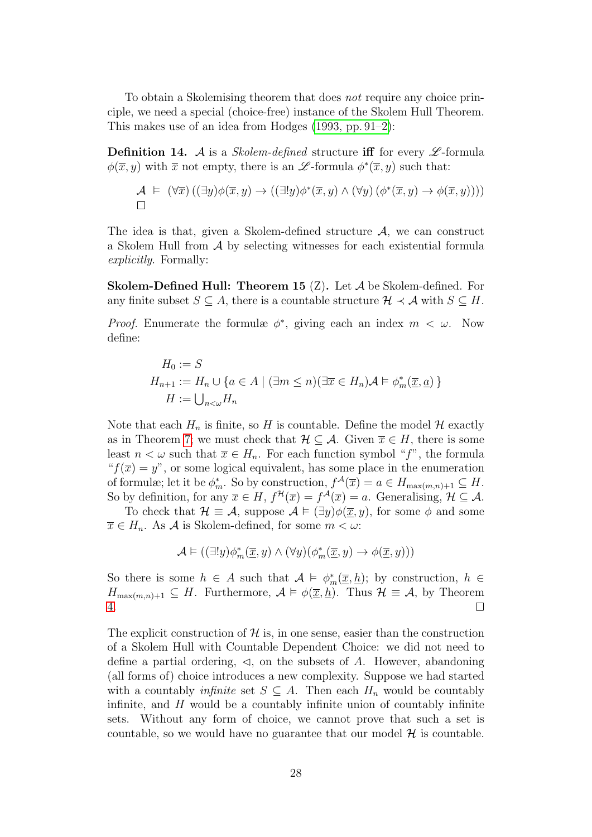To obtain a Skolemising theorem that does not require any choice principle, we need a special (choice-free) instance of the Skolem Hull Theorem. This makes use of an idea from Hodges [\(1993, pp. 91–2\)](#page-30-6):

**Definition 14.** A is a *Skolem-defined* structure iff for every  $\mathscr{L}$ -formula  $\phi(\overline{x}, y)$  with  $\overline{x}$  not empty, there is an  $\mathscr{L}$ -formula  $\phi^*(\overline{x}, y)$  such that:

$$
\mathcal{A} \models (\forall \overline{x}) ((\exists y) \phi(\overline{x}, y) \rightarrow ((\exists ! y) \phi^*(\overline{x}, y) \land (\forall y) (\phi^*(\overline{x}, y) \rightarrow \phi(\overline{x}, y))))
$$

The idea is that, given a Skolem-defined structure  $A$ , we can construct a Skolem Hull from A by selecting witnesses for each existential formula explicitly. Formally:

<span id="page-27-0"></span>**Skolem-Defined Hull: Theorem 15**  $(Z)$ . Let  $\mathcal A$  be Skolem-defined. For any finite subset  $S \subseteq A$ , there is a countable structure  $\mathcal{H} \prec \mathcal{A}$  with  $S \subseteq H$ .

*Proof.* Enumerate the formulæ  $\phi^*$ , giving each an index  $m < \omega$ . Now define:

$$
H_0 := S
$$
  
\n
$$
H_{n+1} := H_n \cup \{a \in A \mid (\exists m \le n)(\exists \overline{x} \in H_n) \mathcal{A} \models \phi_m^*(\overline{x}, \underline{a})\}
$$
  
\n
$$
H := \bigcup_{n < \omega} H_n
$$

Note that each  $H_n$  is finite, so H is countable. Define the model H exactly as in Theorem [7;](#page-23-0) we must check that  $\mathcal{H} \subseteq \mathcal{A}$ . Given  $\overline{x} \in H$ , there is some least  $n < \omega$  such that  $\overline{x} \in H_n$ . For each function symbol "f", the formula " $f(\overline{x}) = y$ ", or some logical equivalent, has some place in the enumeration of formulæ; let it be  $\phi_m^*$ . So by construction,  $f^{\mathcal{A}}(\overline{x}) = a \in H_{\max(m,n)+1} \subseteq H$ . So by definition, for any  $\overline{x} \in H$ ,  $f^{\mathcal{H}}(\overline{x}) = f^{\mathcal{A}}(\overline{x}) = a$ . Generalising,  $\mathcal{H} \subseteq \mathcal{A}$ .

To check that  $\mathcal{H} \equiv \mathcal{A}$ , suppose  $\mathcal{A} \models (\exists y) \phi(\overline{x}, y)$ , for some  $\phi$  and some  $\overline{x} \in H_n$ . As A is Skolem-defined, for some  $m < \omega$ :

$$
\mathcal{A}\vDash ((\exists ! y)\phi_m^*(\overline{\underline{x}},y)\wedge(\forall y)(\phi_m^*(\overline{\underline{x}},y)\rightarrow\phi(\overline{\underline{x}},y)))
$$

So there is some  $h \in A$  such that  $A \models \phi_m^*(\overline{x}, \underline{h})$ ; by construction,  $h \in$  $H_{\max(m,n)+1} \subseteq H$ . Furthermore,  $\mathcal{A} \models \phi(\overline{x}, \underline{h})$ . Thus  $\mathcal{H} \equiv \mathcal{A}$ , by Theorem [4.](#page-22-1)  $\Box$ 

The explicit construction of  $\mathcal{H}$  is, in one sense, easier than the construction of a Skolem Hull with Countable Dependent Choice: we did not need to define a partial ordering,  $\triangleleft$ , on the subsets of A. However, abandoning (all forms of) choice introduces a new complexity. Suppose we had started with a countably *infinite* set  $S \subseteq A$ . Then each  $H_n$  would be countably infinite, and  $H$  would be a countably infinite union of countably infinite sets. Without any form of choice, we cannot prove that such a set is countable, so we would have no guarantee that our model  $\mathcal H$  is countable.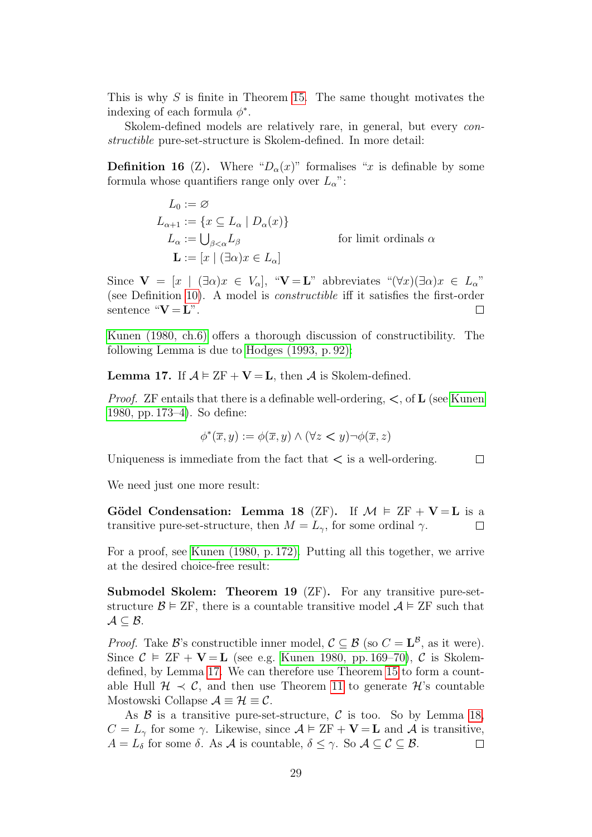This is why  $S$  is finite in Theorem [15.](#page-27-0) The same thought motivates the indexing of each formula  $\phi^*$ .

Skolem-defined models are relatively rare, in general, but every *con*structible pure-set-structure is Skolem-defined. In more detail:

**Definition 16** (Z). Where " $D_{\alpha}(x)$ " formalises "x is definable by some formula whose quantifiers range only over  $L_{\alpha}$ ":

> $L_0 := \varnothing$  $L_{\alpha+1} := \{x \subseteq L_{\alpha} \mid D_{\alpha}(x)\}\$  $L_{\alpha} := \bigcup_{\beta < \alpha} L_{\beta}$ for limit ordinals  $\alpha$  $\mathbf{L} := [x \mid (\exists \alpha) x \in L_{\alpha}]$

Since  $\mathbf{V} = [x \mid (\exists \alpha)x \in V_{\alpha}], \ \ ^{\alpha}\mathbf{V} = \mathbf{L}^n$  abbreviates  $\ ^{\alpha}(\forall x)(\exists \alpha)x \in L_{\alpha}^{\ \gamma}$ (see Definition [10\)](#page-24-2). A model is constructible iff it satisfies the first-order sentence " $V = L$ ".  $\Box$ 

[Kunen \(1980, ch.6\)](#page-30-3) offers a thorough discussion of constructibility. The following Lemma is due to [Hodges \(1993, p. 92\):](#page-30-6)

<span id="page-28-0"></span>**Lemma 17.** If  $\mathcal{A} \models \text{ZF} + \mathbf{V} = \mathbf{L}$ , then  $\mathcal{A}$  is Skolem-defined.

*Proof.* ZF entails that there is a definable well-ordering,  $\lt$ , of **L** (see [Kunen](#page-30-3) [1980, pp. 173–4\)](#page-30-3). So define:

$$
\phi^*(\overline{x}, y) := \phi(\overline{x}, y) \land (\forall z < y) \neg \phi(\overline{x}, z)
$$

 $\Box$ 

Uniqueness is immediate from the fact that  $\lt$  is a well-ordering.

We need just one more result:

<span id="page-28-1"></span>Gödel Condensation: Lemma 18 (ZF). If  $\mathcal{M} \models ZF + V = L$  is a transitive pure-set-structure, then  $M = L_{\gamma}$ , for some ordinal  $\gamma$ .  $\Box$ 

For a proof, see [Kunen \(1980, p. 172\).](#page-30-3) Putting all this together, we arrive at the desired choice-free result:

Submodel Skolem: Theorem 19 (ZF). For any transitive pure-setstructure  $\mathcal{B} \models \text{ZF}$ , there is a countable transitive model  $\mathcal{A} \models \text{ZF}$  such that  $\mathcal{A} \subseteq \mathcal{B}$ .

*Proof.* Take B's constructible inner model,  $C \subseteq B$  (so  $C = L^B$ , as it were). Since  $\mathcal{C} \models \mathbb{Z}F + \mathbf{V} = \mathbf{L}$  (see e.g. [Kunen 1980, pp. 169–70\)](#page-30-3),  $\mathcal{C}$  is Skolemdefined, by Lemma [17.](#page-28-0) We can therefore use Theorem [15](#page-27-0) to form a countable Hull  $\mathcal{H} \prec \mathcal{C}$ , and then use Theorem [11](#page-25-0) to generate  $\mathcal{H}$ 's countable Mostowski Collapse  $\mathcal{A} \equiv \mathcal{H} \equiv \mathcal{C}$ .

As  $\beta$  is a transitive pure-set-structure,  $\beta$  is too. So by Lemma [18,](#page-28-1)  $C = L_{\gamma}$  for some  $\gamma$ . Likewise, since  $\mathcal{A} \models \text{ZF} + \mathbf{V} = \mathbf{L}$  and  $\mathcal{A}$  is transitive,  $A = L_{\delta}$  for some  $\delta$ . As  $\mathcal A$  is countable,  $\delta \leq \gamma$ . So  $\mathcal A \subseteq \mathcal C \subseteq \mathcal B$ .  $\Box$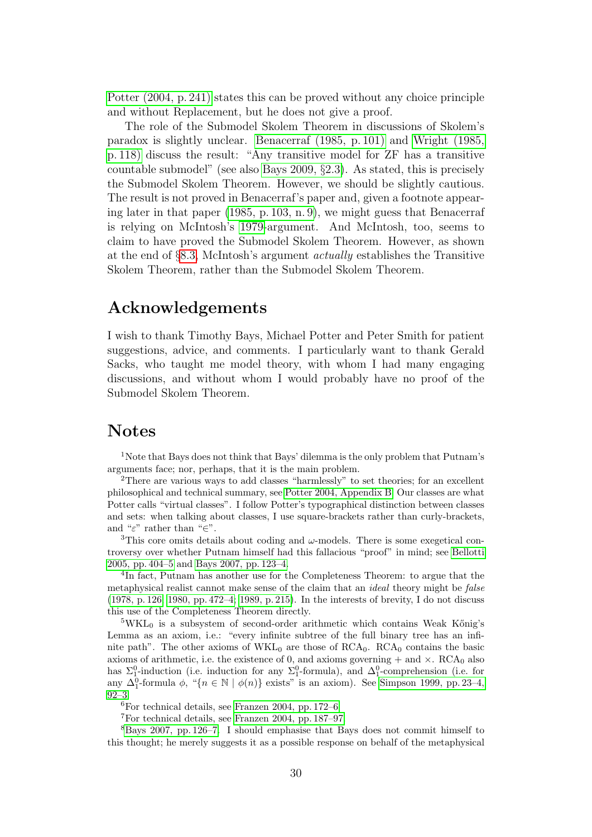[Potter \(2004, p. 241\)](#page-30-5) states this can be proved without any choice principle and without Replacement, but he does not give a proof.

The role of the Submodel Skolem Theorem in discussions of Skolem's paradox is slightly unclear. [Benacerraf \(1985, p. 101\)](#page-30-10) and [Wright \(1985,](#page-31-9) [p. 118\)](#page-31-9) discuss the result: "Any transitive model for ZF has a transitive countable submodel" (see also [Bays 2009,](#page-30-11) §2.3). As stated, this is precisely the Submodel Skolem Theorem. However, we should be slightly cautious. The result is not proved in Benacerraf's paper and, given a footnote appearing later in that paper [\(1985, p. 103, n. 9\)](#page-30-10), we might guess that Benacerraf is relying on McIntosh's [1979-](#page-30-7)argument. And McIntosh, too, seems to claim to have proved the Submodel Skolem Theorem. However, as shown at the end of §[8.3,](#page-24-0) McIntosh's argument actually establishes the Transitive Skolem Theorem, rather than the Submodel Skolem Theorem.

### Acknowledgements

I wish to thank Timothy Bays, Michael Potter and Peter Smith for patient suggestions, advice, and comments. I particularly want to thank Gerald Sacks, who taught me model theory, with whom I had many engaging discussions, and without whom I would probably have no proof of the Submodel Skolem Theorem.

### Notes

<sup>1</sup>Note that Bays does not think that Bays' dilemma is the only problem that Putnam's arguments face; nor, perhaps, that it is the main problem.

<sup>2</sup>There are various ways to add classes "harmlessly" to set theories; for an excellent philosophical and technical summary, see [Potter 2004, Appendix B.](#page-30-5) Our classes are what Potter calls "virtual classes". I follow Potter's typographical distinction between classes and sets: when talking about classes, I use square-brackets rather than curly-brackets, and " $\varepsilon$ " rather than " $\in$ ".

<sup>3</sup>This core omits details about coding and  $\omega$ -models. There is some exegetical controversy over whether Putnam himself had this fallacious "proof" in mind; see [Bellotti](#page-30-2) [2005, pp. 404–5](#page-30-2) and [Bays 2007, pp. 123–4.](#page-30-1)

4 In fact, Putnam has another use for the Completeness Theorem: to argue that the metaphysical realist cannot make sense of the claim that an ideal theory might be false [\(1978, p. 126;](#page-31-1) [1980, pp. 472–4;](#page-31-3) [1989, p. 215\)](#page-31-2). In the interests of brevity, I do not discuss this use of the Completeness Theorem directly.

 $5WKL<sub>0</sub>$  is a subsystem of second-order arithmetic which contains Weak Kőnig's Lemma as an axiom, i.e.: "every infinite subtree of the full binary tree has an infinite path". The other axioms of  $WKL_0$  are those of  $RCA_0$ .  $RCA_0$  contains the basic axioms of arithmetic, i.e. the existence of 0, and axioms governing  $+$  and  $\times$ . RCA<sub>0</sub> also has  $\Sigma_1^0$ -induction (i.e. induction for any  $\Sigma_1^0$ -formula), and  $\Delta_1^0$ -comprehension (i.e. for any  $\Delta_1^0$ -formula  $\phi$ , "{ $n \in \mathbb{N} \mid \phi(n)$ } exists" is an axiom). See Simpson 1999, pp. 23-4, [92–3.](#page-31-6)

 ${}^{6}$ For technical details, see [Franzen 2004, pp. 172–6](#page-30-12)

<sup>7</sup>For technical details, see [Franzen 2004, pp. 187–97.](#page-30-12)

 $8B$ ays 2007, pp. 126–7. I should emphasise that Bays does not commit himself to this thought; he merely suggests it as a possible response on behalf of the metaphysical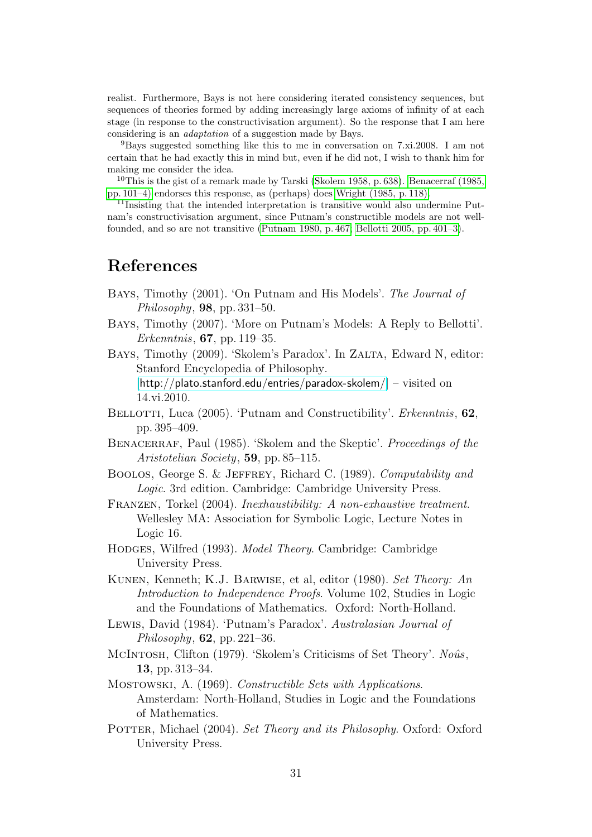realist. Furthermore, Bays is not here considering iterated consistency sequences, but sequences of theories formed by adding increasingly large axioms of infinity of at each stage (in response to the constructivisation argument). So the response that I am here considering is an adaptation of a suggestion made by Bays.

<sup>9</sup>Bays suggested something like this to me in conversation on 7.xi.2008. I am not certain that he had exactly this in mind but, even if he did not, I wish to thank him for making me consider the idea.

<sup>10</sup>This is the gist of a remark made by Tarski [\(Skolem 1958, p. 638\)](#page-31-10). [Benacerraf \(1985,](#page-30-10) [pp. 101–4\)](#page-30-10) endorses this response, as (perhaps) does [Wright \(1985, p. 118\).](#page-31-9)

<sup>11</sup>Insisting that the intended interpretation is transitive would also undermine Putnam's constructivisation argument, since Putnam's constructible models are not wellfounded, and so are not transitive [\(Putnam 1980, p. 467;](#page-31-3) [Bellotti 2005, pp. 401–3\)](#page-30-2).

## References

- <span id="page-30-0"></span>Bays, Timothy (2001). 'On Putnam and His Models'. The Journal of Philosophy,  $98$ , pp. 331–50.
- <span id="page-30-1"></span>Bays, Timothy (2007). 'More on Putnam's Models: A Reply to Bellotti'. Erkenntnis, 67, pp. 119–35.
- <span id="page-30-11"></span>BAYS, Timothy (2009). 'Skolem's Paradox'. In ZALTA, Edward N, editor: Stanford Encyclopedia of Philosophy. [<http://plato.stanford.edu/entries/paradox-skolem/>] – visited on 14.vi.2010.
- <span id="page-30-2"></span>BELLOTTI, Luca (2005). 'Putnam and Constructibility'. *Erkenntnis*, 62, pp. 395–409.
- <span id="page-30-10"></span>BENACERRAF, Paul (1985). 'Skolem and the Skeptic'. Proceedings of the Aristotelian Society, 59, pp. 85–115.
- <span id="page-30-9"></span>Boolos, George S. & Jeffrey, Richard C. (1989). Computability and Logic. 3rd edition. Cambridge: Cambridge University Press.
- <span id="page-30-12"></span>Franzen, Torkel (2004). Inexhaustibility: A non-exhaustive treatment. Wellesley MA: Association for Symbolic Logic, Lecture Notes in Logic 16.
- <span id="page-30-6"></span>HODGES, Wilfred (1993). *Model Theory*. Cambridge: Cambridge University Press.
- <span id="page-30-3"></span>Kunen, Kenneth; K.J. Barwise, et al, editor (1980). Set Theory: An Introduction to Independence Proofs. Volume 102, Studies in Logic and the Foundations of Mathematics. Oxford: North-Holland.
- <span id="page-30-4"></span>Lewis, David (1984). 'Putnam's Paradox'. Australasian Journal of Philosophy, 62, pp. 221–36.
- <span id="page-30-7"></span>McINTOSH, Clifton (1979). 'Skolem's Criticisms of Set Theory'. Noûs, 13, pp. 313–34.
- <span id="page-30-8"></span>MOSTOWSKI, A. (1969). Constructible Sets with Applications. Amsterdam: North-Holland, Studies in Logic and the Foundations of Mathematics.
- <span id="page-30-5"></span>POTTER, Michael (2004). Set Theory and its Philosophy. Oxford: Oxford University Press.